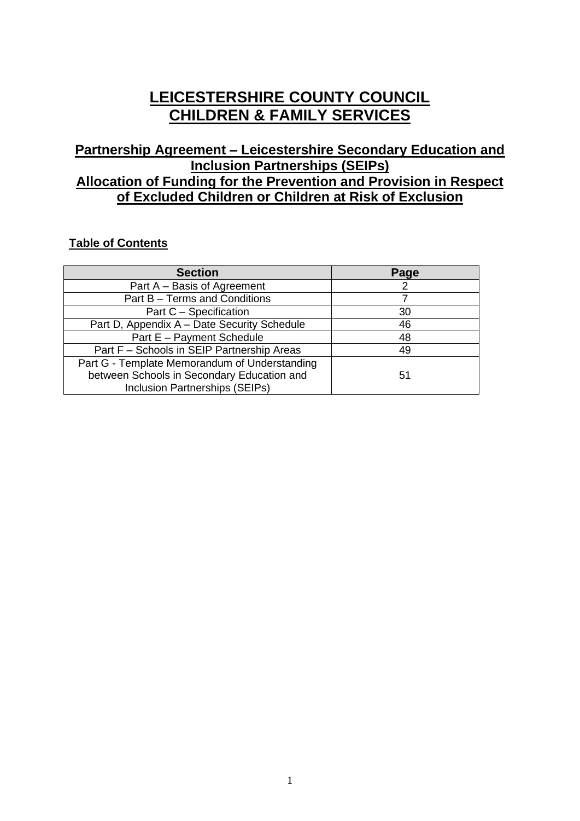# **LEICESTERSHIRE COUNTY COUNCIL CHILDREN & FAMILY SERVICES**

## **Partnership Agreement – Leicestershire Secondary Education and Inclusion Partnerships (SEIPs) Allocation of Funding for the Prevention and Provision in Respect of Excluded Children or Children at Risk of Exclusion**

## **Table of Contents**

| <b>Section</b>                                | Page |
|-----------------------------------------------|------|
| Part A - Basis of Agreement                   |      |
| Part B - Terms and Conditions                 |      |
| Part C - Specification                        | 30   |
| Part D, Appendix A - Date Security Schedule   | 46   |
| Part E - Payment Schedule                     | 48   |
| Part F - Schools in SEIP Partnership Areas    | 49   |
| Part G - Template Memorandum of Understanding |      |
| between Schools in Secondary Education and    | 51   |
| Inclusion Partnerships (SEIPs)                |      |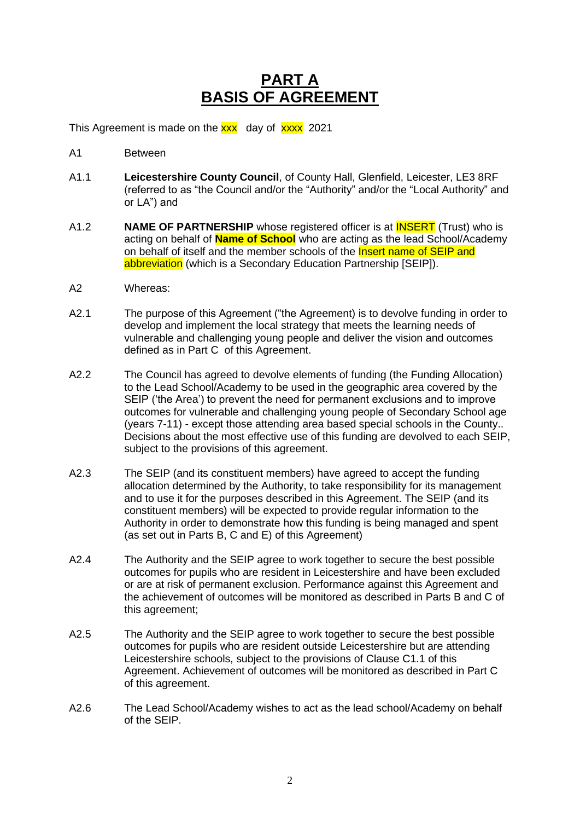## **PART A BASIS OF AGREEMENT**

This Agreement is made on the **xxx** day of **xxxx** 2021

- A1 Between
- A1.1 **Leicestershire County Council**, of County Hall, Glenfield, Leicester, LE3 8RF (referred to as "the Council and/or the "Authority" and/or the "Local Authority" and or LA") and
- A1.2 **NAME OF PARTNERSHIP** whose registered officer is at INSERT (Trust) who is acting on behalf of **Name of School** who are acting as the lead School/Academy on behalf of itself and the member schools of the **Insert name of SEIP and** abbreviation (which is a Secondary Education Partnership [SEIP]).
- A2 Whereas:
- A2.1 The purpose of this Agreement ("the Agreement) is to devolve funding in order to develop and implement the local strategy that meets the learning needs of vulnerable and challenging young people and deliver the vision and outcomes defined as in Part C of this Agreement.
- A2.2 The Council has agreed to devolve elements of funding (the Funding Allocation) to the Lead School/Academy to be used in the geographic area covered by the SEIP ('the Area') to prevent the need for permanent exclusions and to improve outcomes for vulnerable and challenging young people of Secondary School age (years 7-11) - except those attending area based special schools in the County.. Decisions about the most effective use of this funding are devolved to each SEIP, subject to the provisions of this agreement.
- A2.3 The SEIP (and its constituent members) have agreed to accept the funding allocation determined by the Authority, to take responsibility for its management and to use it for the purposes described in this Agreement. The SEIP (and its constituent members) will be expected to provide regular information to the Authority in order to demonstrate how this funding is being managed and spent (as set out in Parts B, C and E) of this Agreement)
- A2.4 The Authority and the SEIP agree to work together to secure the best possible outcomes for pupils who are resident in Leicestershire and have been excluded or are at risk of permanent exclusion. Performance against this Agreement and the achievement of outcomes will be monitored as described in Parts B and C of this agreement;
- A2.5 The Authority and the SEIP agree to work together to secure the best possible outcomes for pupils who are resident outside Leicestershire but are attending Leicestershire schools, subject to the provisions of Clause C1.1 of this Agreement. Achievement of outcomes will be monitored as described in Part C of this agreement.
- A2.6 The Lead School/Academy wishes to act as the lead school/Academy on behalf of the SEIP.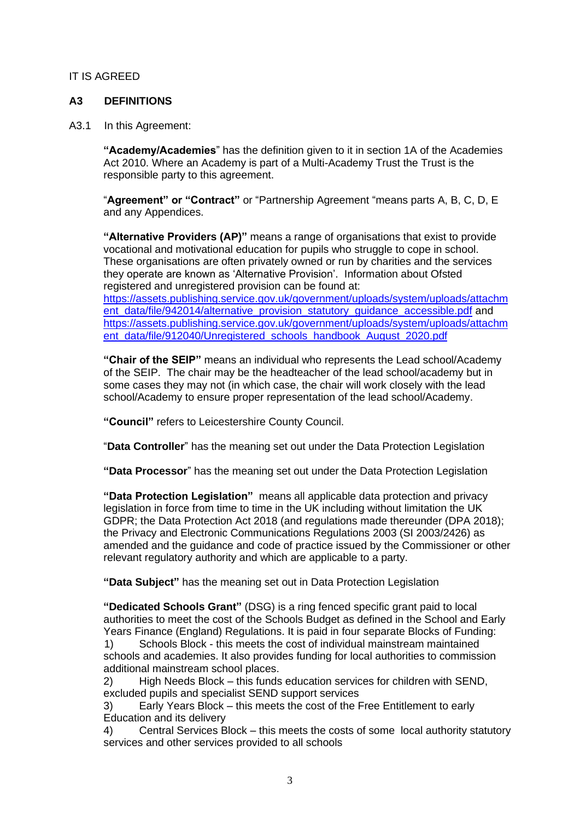#### IT IS AGREED

#### **A3 DEFINITIONS**

A3.1 In this Agreement:

**"Academy/Academies**" has the definition given to it in section 1A of the Academies Act 2010. Where an Academy is part of a Multi-Academy Trust the Trust is the responsible party to this agreement.

"**Agreement" or "Contract"** or "Partnership Agreement "means parts A, B, C, D, E and any Appendices.

**"Alternative Providers (AP)"** means a range of organisations that exist to provide vocational and motivational education for pupils who struggle to cope in school. These organisations are often privately owned or run by charities and the services they operate are known as 'Alternative Provision'. Information about Ofsted registered and unregistered provision can be found at: [https://assets.publishing.service.gov.uk/government/uploads/system/uploads/attachm](https://assets.publishing.service.gov.uk/government/uploads/system/uploads/attachment_data/file/942014/alternative_provision_statutory_guidance_accessible.pdf)

[ent\\_data/file/942014/alternative\\_provision\\_statutory\\_guidance\\_accessible.pdf](https://assets.publishing.service.gov.uk/government/uploads/system/uploads/attachment_data/file/942014/alternative_provision_statutory_guidance_accessible.pdf) and [https://assets.publishing.service.gov.uk/government/uploads/system/uploads/attachm](https://assets.publishing.service.gov.uk/government/uploads/system/uploads/attachment_data/file/912040/Unregistered_schools_handbook_August_2020.pdf) [ent\\_data/file/912040/Unregistered\\_schools\\_handbook\\_August\\_2020.pdf](https://assets.publishing.service.gov.uk/government/uploads/system/uploads/attachment_data/file/912040/Unregistered_schools_handbook_August_2020.pdf)

**"Chair of the SEIP"** means an individual who represents the Lead school/Academy of the SEIP. The chair may be the headteacher of the lead school/academy but in some cases they may not (in which case, the chair will work closely with the lead school/Academy to ensure proper representation of the lead school/Academy.

**"Council"** refers to Leicestershire County Council.

"**Data Controller**" has the meaning set out under the Data Protection Legislation

**"Data Processor**" has the meaning set out under the Data Protection Legislation

**"Data Protection Legislation"** means all applicable data protection and privacy legislation in force from time to time in the UK including without limitation the UK GDPR; the Data Protection Act 2018 (and regulations made thereunder (DPA 2018); the Privacy and Electronic Communications Regulations 2003 (SI 2003/2426) as amended and the guidance and code of practice issued by the Commissioner or other relevant regulatory authority and which are applicable to a party.

**"Data Subject"** has the meaning set out in Data Protection Legislation

**"Dedicated Schools Grant"** (DSG) is a ring fenced specific grant paid to local authorities to meet the cost of the Schools Budget as defined in the School and Early Years Finance (England) Regulations. It is paid in four separate Blocks of Funding: 1) Schools Block - this meets the cost of individual mainstream maintained schools and academies. It also provides funding for local authorities to commission additional mainstream school places.

2) High Needs Block – this funds education services for children with SEND, excluded pupils and specialist SEND support services

3) Early Years Block – this meets the cost of the Free Entitlement to early Education and its delivery

4) Central Services Block – this meets the costs of some local authority statutory services and other services provided to all schools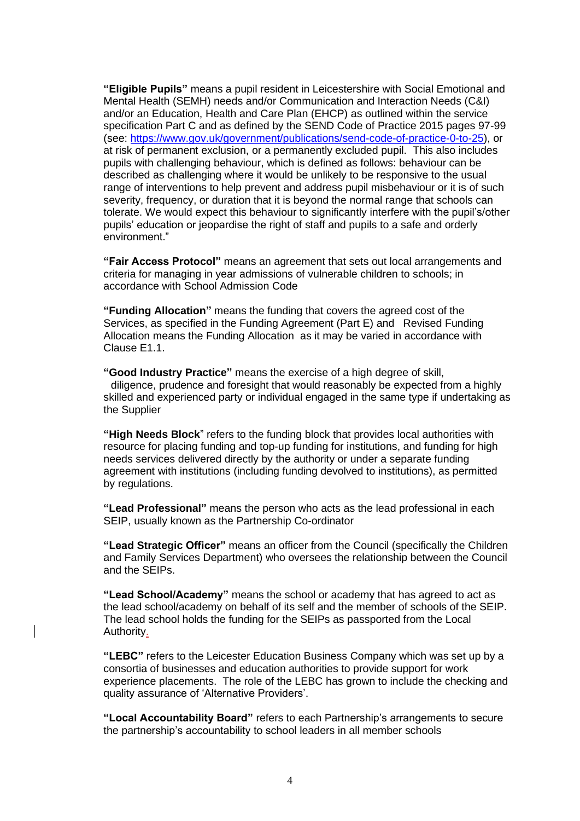**"Eligible Pupils"** means a pupil resident in Leicestershire with Social Emotional and Mental Health (SEMH) needs and/or Communication and Interaction Needs (C&I) and/or an Education, Health and Care Plan (EHCP) as outlined within the service specification Part C and as defined by the SEND Code of Practice 2015 pages 97-99 (see: [https://www.gov.uk/government/publications/send-code-of-practice-0-to-25\)](https://www.gov.uk/government/publications/send-code-of-practice-0-to-25), or at risk of permanent exclusion, or a permanently excluded pupil. This also includes pupils with challenging behaviour, which is defined as follows: behaviour can be described as challenging where it would be unlikely to be responsive to the usual range of interventions to help prevent and address pupil misbehaviour or it is of such severity, frequency, or duration that it is beyond the normal range that schools can tolerate. We would expect this behaviour to significantly interfere with the pupil's/other pupils' education or jeopardise the right of staff and pupils to a safe and orderly environment."

**"Fair Access Protocol"** means an agreement that sets out local arrangements and criteria for managing in year admissions of vulnerable children to schools; in accordance with School Admission Code

**"Funding Allocation"** means the funding that covers the agreed cost of the Services, as specified in the Funding Agreement (Part E) and Revised Funding Allocation means the Funding Allocation as it may be varied in accordance with Clause E1.1.

**"Good Industry Practice"** means the exercise of a high degree of skill, diligence, prudence and foresight that would reasonably be expected from a highly skilled and experienced party or individual engaged in the same type if undertaking as the Supplier

**"High Needs Block**" refers to the funding block that provides local authorities with resource for placing funding and top-up funding for institutions, and funding for high needs services delivered directly by the authority or under a separate funding agreement with institutions (including funding devolved to institutions), as permitted by regulations.

**"Lead Professional"** means the person who acts as the lead professional in each SEIP, usually known as the Partnership Co-ordinator

**"Lead Strategic Officer"** means an officer from the Council (specifically the Children and Family Services Department) who oversees the relationship between the Council and the SEIPs.

**"Lead School/Academy"** means the school or academy that has agreed to act as the lead school/academy on behalf of its self and the member of schools of the SEIP. The lead school holds the funding for the SEIPs as passported from the Local Authority.

**"LEBC"** refers to the Leicester Education Business Company which was set up by a consortia of businesses and education authorities to provide support for work experience placements. The role of the LEBC has grown to include the checking and quality assurance of 'Alternative Providers'.

**"Local Accountability Board"** refers to each Partnership's arrangements to secure the partnership's accountability to school leaders in all member schools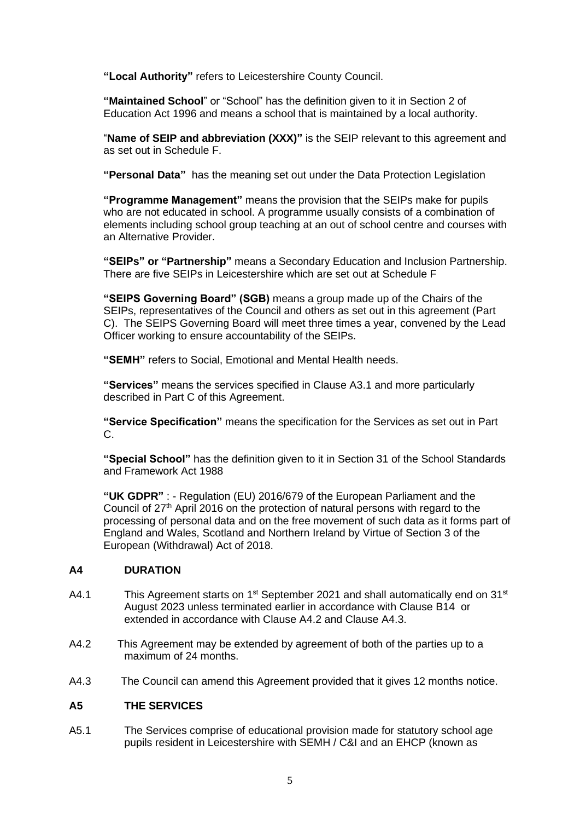**"Local Authority"** refers to Leicestershire County Council.

**"Maintained School**" or "School" has the definition given to it in Section 2 of Education Act 1996 and means a school that is maintained by a local authority.

"**Name of SEIP and abbreviation (XXX)"** is the SEIP relevant to this agreement and as set out in Schedule F.

**"Personal Data"** has the meaning set out under the Data Protection Legislation

**"Programme Management"** means the provision that the SEIPs make for pupils who are not educated in school. A programme usually consists of a combination of elements including school group teaching at an out of school centre and courses with an Alternative Provider.

**"SEIPs" or "Partnership"** means a Secondary Education and Inclusion Partnership. There are five SEIPs in Leicestershire which are set out at Schedule F

**"SEIPS Governing Board" (SGB)** means a group made up of the Chairs of the SEIPs, representatives of the Council and others as set out in this agreement (Part C). The SEIPS Governing Board will meet three times a year, convened by the Lead Officer working to ensure accountability of the SEIPs.

**"SEMH"** refers to Social, Emotional and Mental Health needs.

**"Services"** means the services specified in Clause A3.1 and more particularly described in Part C of this Agreement.

**"Service Specification"** means the specification for the Services as set out in Part C.

**"Special School"** has the definition given to it in Section 31 of the School Standards and Framework Act 1988

**"UK GDPR"** : - Regulation (EU) 2016/679 of the European Parliament and the Council of 27<sup>th</sup> April 2016 on the protection of natural persons with regard to the processing of personal data and on the free movement of such data as it forms part of England and Wales, Scotland and Northern Ireland by Virtue of Section 3 of the European (Withdrawal) Act of 2018.

#### **A4 DURATION**

- A4.1 This Agreement starts on 1<sup>st</sup> September 2021 and shall automatically end on 31<sup>st</sup> August 2023 unless terminated earlier in accordance with Clause B14 or extended in accordance with Clause A4.2 and Clause A4.3.
- A4.2 This Agreement may be extended by agreement of both of the parties up to a maximum of 24 months.
- A4.3 The Council can amend this Agreement provided that it gives 12 months notice.

#### **A5 THE SERVICES**

A5.1 The Services comprise of educational provision made for statutory school age pupils resident in Leicestershire with SEMH / C&I and an EHCP (known as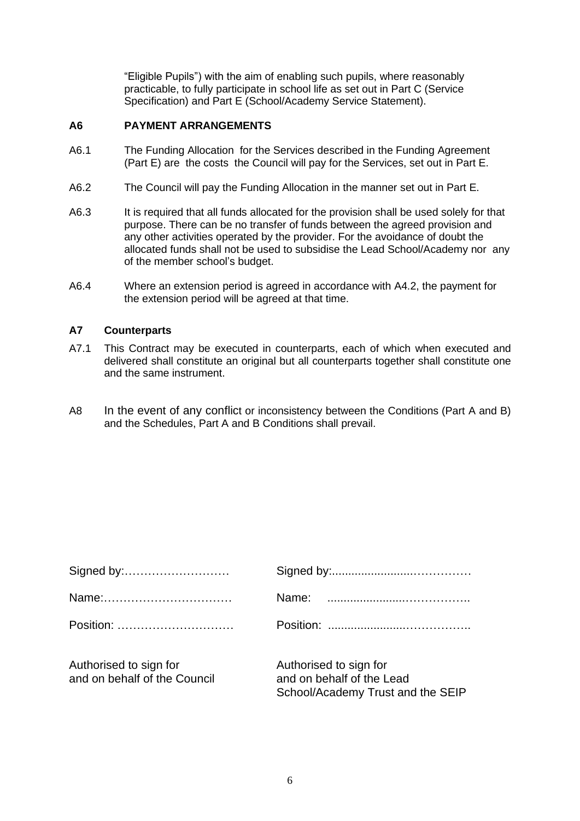"Eligible Pupils") with the aim of enabling such pupils, where reasonably practicable, to fully participate in school life as set out in Part C (Service Specification) and Part E (School/Academy Service Statement).

## **A6 PAYMENT ARRANGEMENTS**

- A6.1 The Funding Allocation for the Services described in the Funding Agreement (Part E) are the costs the Council will pay for the Services, set out in Part E.
- A6.2 The Council will pay the Funding Allocation in the manner set out in Part E.
- A6.3 It is required that all funds allocated for the provision shall be used solely for that purpose. There can be no transfer of funds between the agreed provision and any other activities operated by the provider. For the avoidance of doubt the allocated funds shall not be used to subsidise the Lead School/Academy nor any of the member school's budget.
- A6.4 Where an extension period is agreed in accordance with A4.2, the payment for the extension period will be agreed at that time.

#### **A7 Counterparts**

- A7.1 This Contract may be executed in counterparts, each of which when executed and delivered shall constitute an original but all counterparts together shall constitute one and the same instrument.
- A8 In the event of any conflict or inconsistency between the Conditions (Part A and B) and the Schedules, Part A and B Conditions shall prevail.

| Authorised to sign for<br>and on behalf of the Council | Authorised to sign for<br>and on behalf of the Lead |
|--------------------------------------------------------|-----------------------------------------------------|

School/Academy Trust and the SEIP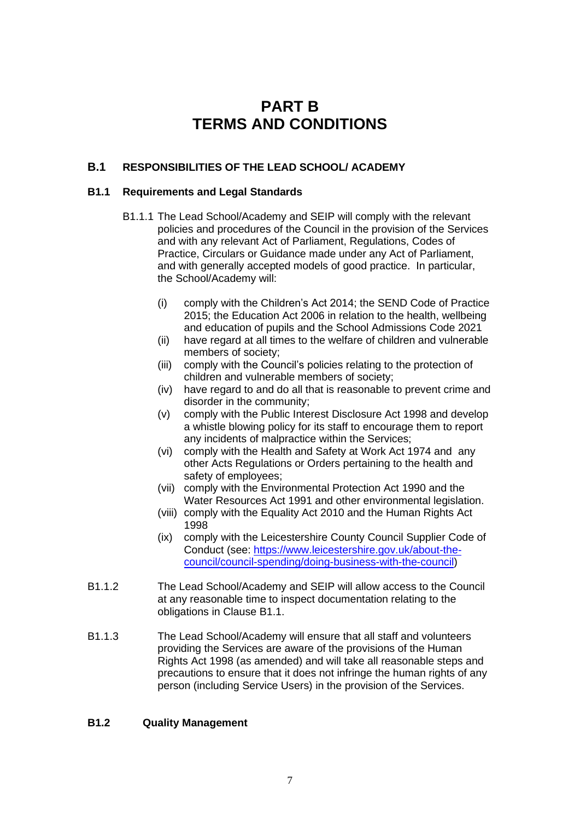## **PART B TERMS AND CONDITIONS**

## **B.1 RESPONSIBILITIES OF THE LEAD SCHOOL/ ACADEMY**

## **B1.1 Requirements and Legal Standards**

- B1.1.1 The Lead School/Academy and SEIP will comply with the relevant policies and procedures of the Council in the provision of the Services and with any relevant Act of Parliament, Regulations, Codes of Practice, Circulars or Guidance made under any Act of Parliament, and with generally accepted models of good practice. In particular, the School/Academy will:
	- (i) comply with the Children's Act 2014; the SEND Code of Practice 2015; the Education Act 2006 in relation to the health, wellbeing and education of pupils and the School Admissions Code 2021
	- (ii) have regard at all times to the welfare of children and vulnerable members of society;
	- (iii) comply with the Council's policies relating to the protection of children and vulnerable members of society;
	- (iv) have regard to and do all that is reasonable to prevent crime and disorder in the community;
	- (v) comply with the Public Interest Disclosure Act 1998 and develop a whistle blowing policy for its staff to encourage them to report any incidents of malpractice within the Services;
	- (vi) comply with the Health and Safety at Work Act 1974 and any other Acts Regulations or Orders pertaining to the health and safety of employees;
	- (vii) comply with the Environmental Protection Act 1990 and the Water Resources Act 1991 and other environmental legislation.
	- (viii) comply with the Equality Act 2010 and the Human Rights Act 1998
	- (ix) comply with the Leicestershire County Council Supplier Code of Conduct (see: [https://www.leicestershire.gov.uk/about-the](https://www.leicestershire.gov.uk/about-the-council/council-spending/doing-business-with-the-council)[council/council-spending/doing-business-with-the-council\)](https://www.leicestershire.gov.uk/about-the-council/council-spending/doing-business-with-the-council)
- B1.1.2 The Lead School/Academy and SEIP will allow access to the Council at any reasonable time to inspect documentation relating to the obligations in Clause B1.1.
- B1.1.3 The Lead School/Academy will ensure that all staff and volunteers providing the Services are aware of the provisions of the Human Rights Act 1998 (as amended) and will take all reasonable steps and precautions to ensure that it does not infringe the human rights of any person (including Service Users) in the provision of the Services.

## **B1.2 Quality Management**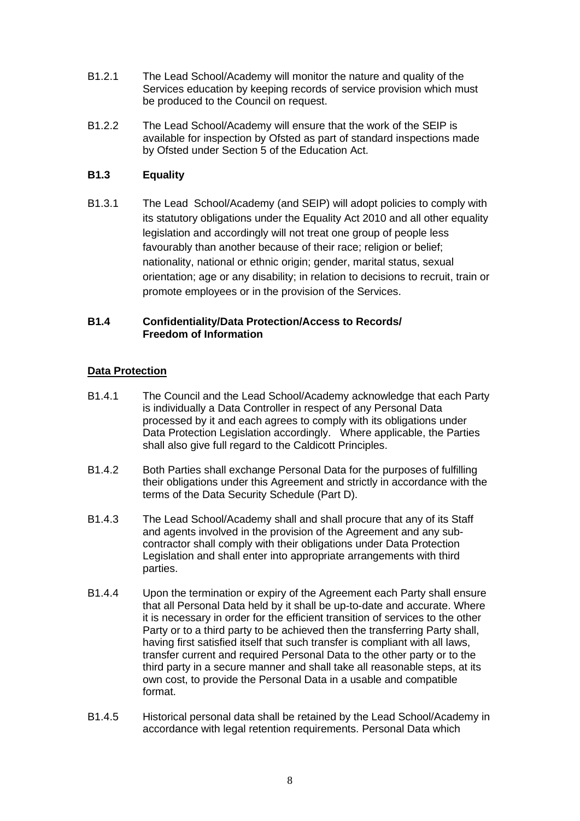- B1.2.1 The Lead School/Academy will monitor the nature and quality of the Services education by keeping records of service provision which must be produced to the Council on request.
- B1.2.2 The Lead School/Academy will ensure that the work of the SEIP is available for inspection by Ofsted as part of standard inspections made by Ofsted under Section 5 of the Education Act.

## **B1.3 Equality**

B1.3.1 The Lead School/Academy (and SEIP) will adopt policies to comply with its statutory obligations under the Equality Act 2010 and all other equality legislation and accordingly will not treat one group of people less favourably than another because of their race; religion or belief; nationality, national or ethnic origin; gender, marital status, sexual orientation; age or any disability; in relation to decisions to recruit, train or promote employees or in the provision of the Services.

## **B1.4 Confidentiality/Data Protection/Access to Records/ Freedom of Information**

## **Data Protection**

- B1.4.1 The Council and the Lead School/Academy acknowledge that each Party is individually a Data Controller in respect of any Personal Data processed by it and each agrees to comply with its obligations under Data Protection Legislation accordingly. Where applicable, the Parties shall also give full regard to the Caldicott Principles.
- B1.4.2 Both Parties shall exchange Personal Data for the purposes of fulfilling their obligations under this Agreement and strictly in accordance with the terms of the Data Security Schedule (Part D).
- B1.4.3 The Lead School/Academy shall and shall procure that any of its Staff and agents involved in the provision of the Agreement and any subcontractor shall comply with their obligations under Data Protection Legislation and shall enter into appropriate arrangements with third parties.
- B1.4.4 Upon the termination or expiry of the Agreement each Party shall ensure that all Personal Data held by it shall be up-to-date and accurate. Where it is necessary in order for the efficient transition of services to the other Party or to a third party to be achieved then the transferring Party shall, having first satisfied itself that such transfer is compliant with all laws, transfer current and required Personal Data to the other party or to the third party in a secure manner and shall take all reasonable steps, at its own cost, to provide the Personal Data in a usable and compatible format.
- B1.4.5 Historical personal data shall be retained by the Lead School/Academy in accordance with legal retention requirements. Personal Data which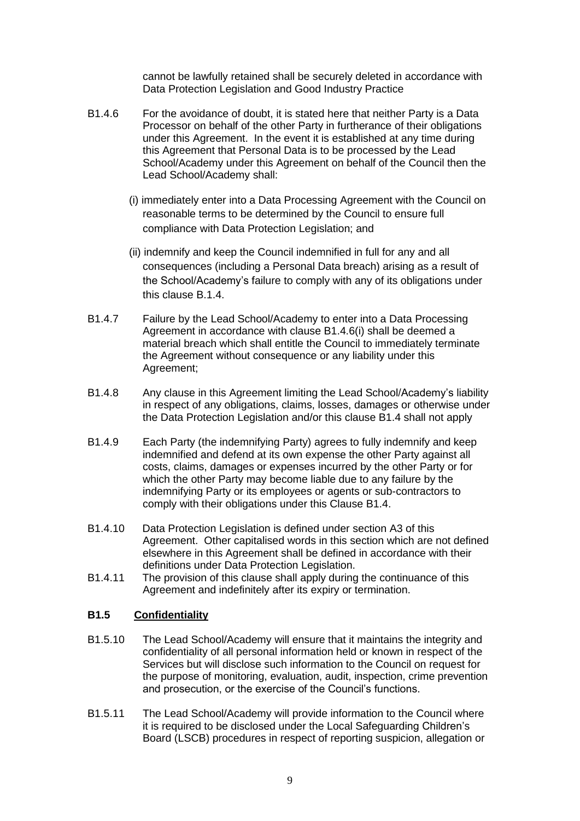cannot be lawfully retained shall be securely deleted in accordance with Data Protection Legislation and Good Industry Practice

- B1.4.6 For the avoidance of doubt, it is stated here that neither Party is a Data Processor on behalf of the other Party in furtherance of their obligations under this Agreement. In the event it is established at any time during this Agreement that Personal Data is to be processed by the Lead School/Academy under this Agreement on behalf of the Council then the Lead School/Academy shall:
	- (i) immediately enter into a Data Processing Agreement with the Council on reasonable terms to be determined by the Council to ensure full compliance with Data Protection Legislation; and
	- (ii) indemnify and keep the Council indemnified in full for any and all consequences (including a Personal Data breach) arising as a result of the School/Academy's failure to comply with any of its obligations under this clause B.1.4.
- B1.4.7 Failure by the Lead School/Academy to enter into a Data Processing Agreement in accordance with clause B1.4.6(i) shall be deemed a material breach which shall entitle the Council to immediately terminate the Agreement without consequence or any liability under this Agreement;
- B1.4.8 Any clause in this Agreement limiting the Lead School/Academy's liability in respect of any obligations, claims, losses, damages or otherwise under the Data Protection Legislation and/or this clause B1.4 shall not apply
- B1.4.9 Each Party (the indemnifying Party) agrees to fully indemnify and keep indemnified and defend at its own expense the other Party against all costs, claims, damages or expenses incurred by the other Party or for which the other Party may become liable due to any failure by the indemnifying Party or its employees or agents or sub-contractors to comply with their obligations under this Clause B1.4.
- B1.4.10 Data Protection Legislation is defined under section A3 of this Agreement. Other capitalised words in this section which are not defined elsewhere in this Agreement shall be defined in accordance with their definitions under Data Protection Legislation.
- B1.4.11 The provision of this clause shall apply during the continuance of this Agreement and indefinitely after its expiry or termination.

## **B1.5 Confidentiality**

- B1.5.10 The Lead School/Academy will ensure that it maintains the integrity and confidentiality of all personal information held or known in respect of the Services but will disclose such information to the Council on request for the purpose of monitoring, evaluation, audit, inspection, crime prevention and prosecution, or the exercise of the Council's functions.
- B1.5.11 The Lead School/Academy will provide information to the Council where it is required to be disclosed under the Local Safeguarding Children's Board (LSCB) procedures in respect of reporting suspicion, allegation or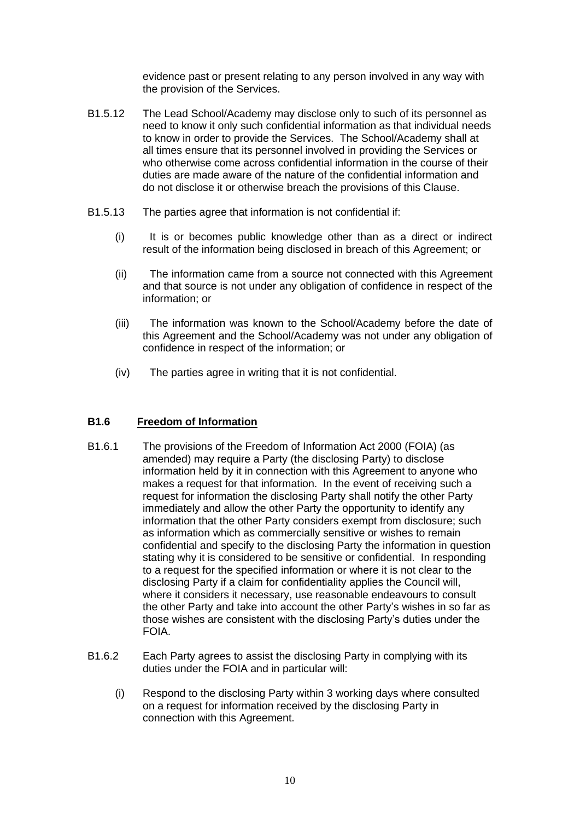evidence past or present relating to any person involved in any way with the provision of the Services.

- B1.5.12 The Lead School/Academy may disclose only to such of its personnel as need to know it only such confidential information as that individual needs to know in order to provide the Services. The School/Academy shall at all times ensure that its personnel involved in providing the Services or who otherwise come across confidential information in the course of their duties are made aware of the nature of the confidential information and do not disclose it or otherwise breach the provisions of this Clause.
- B1.5.13 The parties agree that information is not confidential if:
	- (i) It is or becomes public knowledge other than as a direct or indirect result of the information being disclosed in breach of this Agreement; or
	- (ii) The information came from a source not connected with this Agreement and that source is not under any obligation of confidence in respect of the information; or
	- (iii) The information was known to the School/Academy before the date of this Agreement and the School/Academy was not under any obligation of confidence in respect of the information; or
	- (iv) The parties agree in writing that it is not confidential.

## **B1.6 Freedom of Information**

- B1.6.1 The provisions of the Freedom of Information Act 2000 (FOIA) (as amended) may require a Party (the disclosing Party) to disclose information held by it in connection with this Agreement to anyone who makes a request for that information. In the event of receiving such a request for information the disclosing Party shall notify the other Party immediately and allow the other Party the opportunity to identify any information that the other Party considers exempt from disclosure; such as information which as commercially sensitive or wishes to remain confidential and specify to the disclosing Party the information in question stating why it is considered to be sensitive or confidential. In responding to a request for the specified information or where it is not clear to the disclosing Party if a claim for confidentiality applies the Council will, where it considers it necessary, use reasonable endeavours to consult the other Party and take into account the other Party's wishes in so far as those wishes are consistent with the disclosing Party's duties under the FOIA.
- B1.6.2 Each Party agrees to assist the disclosing Party in complying with its duties under the FOIA and in particular will:
	- (i) Respond to the disclosing Party within 3 working days where consulted on a request for information received by the disclosing Party in connection with this Agreement.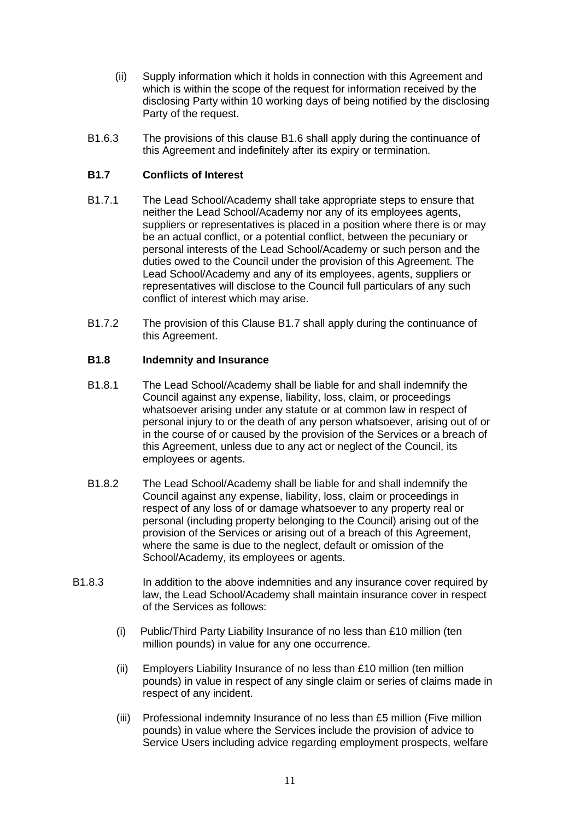- (ii) Supply information which it holds in connection with this Agreement and which is within the scope of the request for information received by the disclosing Party within 10 working days of being notified by the disclosing Party of the request.
- B1.6.3 The provisions of this clause B1.6 shall apply during the continuance of this Agreement and indefinitely after its expiry or termination.

## **B1.7 Conflicts of Interest**

- B1.7.1 The Lead School/Academy shall take appropriate steps to ensure that neither the Lead School/Academy nor any of its employees agents, suppliers or representatives is placed in a position where there is or may be an actual conflict, or a potential conflict, between the pecuniary or personal interests of the Lead School/Academy or such person and the duties owed to the Council under the provision of this Agreement. The Lead School/Academy and any of its employees, agents, suppliers or representatives will disclose to the Council full particulars of any such conflict of interest which may arise.
- B1.7.2 The provision of this Clause B1.7 shall apply during the continuance of this Agreement.

## **B1.8 Indemnity and Insurance**

- B1.8.1 The Lead School/Academy shall be liable for and shall indemnify the Council against any expense, liability, loss, claim, or proceedings whatsoever arising under any statute or at common law in respect of personal injury to or the death of any person whatsoever, arising out of or in the course of or caused by the provision of the Services or a breach of this Agreement, unless due to any act or neglect of the Council, its employees or agents.
- B1.8.2 The Lead School/Academy shall be liable for and shall indemnify the Council against any expense, liability, loss, claim or proceedings in respect of any loss of or damage whatsoever to any property real or personal (including property belonging to the Council) arising out of the provision of the Services or arising out of a breach of this Agreement, where the same is due to the neglect, default or omission of the School/Academy, its employees or agents.
- B1.8.3 In addition to the above indemnities and any insurance cover required by law, the Lead School/Academy shall maintain insurance cover in respect of the Services as follows:
	- (i) Public/Third Party Liability Insurance of no less than £10 million (ten million pounds) in value for any one occurrence.
	- (ii) Employers Liability Insurance of no less than £10 million (ten million pounds) in value in respect of any single claim or series of claims made in respect of any incident.
	- (iii) Professional indemnity Insurance of no less than £5 million (Five million pounds) in value where the Services include the provision of advice to Service Users including advice regarding employment prospects, welfare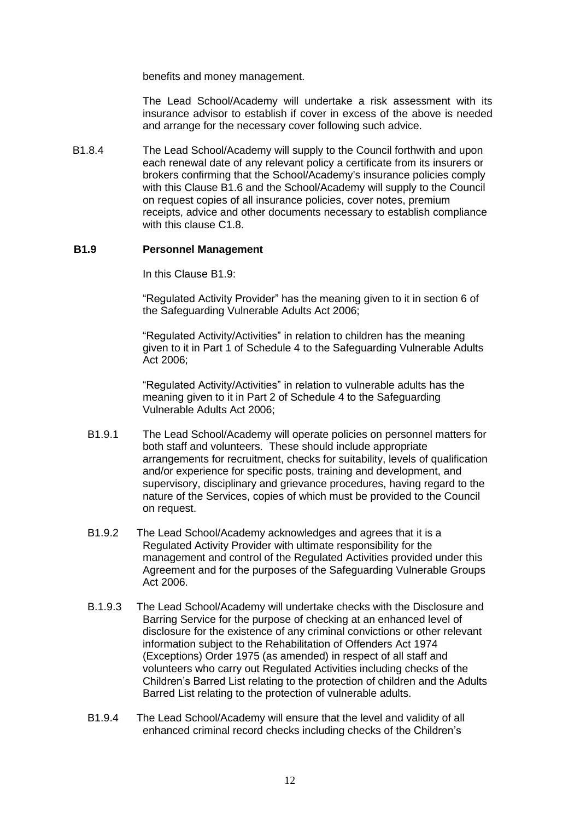benefits and money management.

The Lead School/Academy will undertake a risk assessment with its insurance advisor to establish if cover in excess of the above is needed and arrange for the necessary cover following such advice.

B1.8.4 The Lead School/Academy will supply to the Council forthwith and upon each renewal date of any relevant policy a certificate from its insurers or brokers confirming that the School/Academy's insurance policies comply with this Clause B1.6 and the School/Academy will supply to the Council on request copies of all insurance policies, cover notes, premium receipts, advice and other documents necessary to establish compliance with this clause C1.8.

#### **B1.9 Personnel Management**

In this Clause B1.9:

"Regulated Activity Provider" has the meaning given to it in section 6 of the Safeguarding Vulnerable Adults Act 2006;

"Regulated Activity/Activities" in relation to children has the meaning given to it in Part 1 of Schedule 4 to the Safeguarding Vulnerable Adults Act 2006;

"Regulated Activity/Activities" in relation to vulnerable adults has the meaning given to it in Part 2 of Schedule 4 to the Safeguarding Vulnerable Adults Act 2006;

- B1.9.1 The Lead School/Academy will operate policies on personnel matters for both staff and volunteers. These should include appropriate arrangements for recruitment, checks for suitability, levels of qualification and/or experience for specific posts, training and development, and supervisory, disciplinary and grievance procedures, having regard to the nature of the Services, copies of which must be provided to the Council on request.
- B1.9.2 The Lead School/Academy acknowledges and agrees that it is a Regulated Activity Provider with ultimate responsibility for the management and control of the Regulated Activities provided under this Agreement and for the purposes of the Safeguarding Vulnerable Groups Act 2006.
- B.1.9.3 The Lead School/Academy will undertake checks with the Disclosure and Barring Service for the purpose of checking at an enhanced level of disclosure for the existence of any criminal convictions or other relevant information subject to the Rehabilitation of Offenders Act 1974 (Exceptions) Order 1975 (as amended) in respect of all staff and volunteers who carry out Regulated Activities including checks of the Children's Barred List relating to the protection of children and the Adults Barred List relating to the protection of vulnerable adults.
- B1.9.4 The Lead School/Academy will ensure that the level and validity of all enhanced criminal record checks including checks of the Children's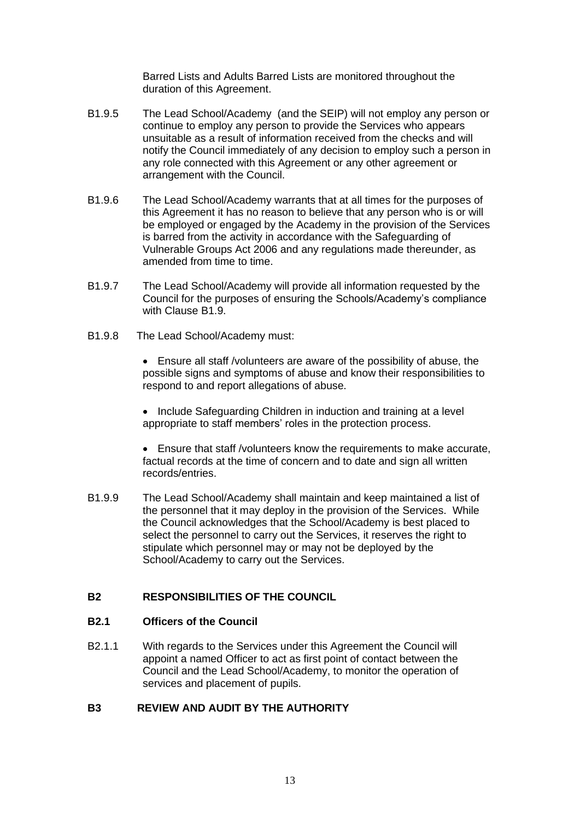Barred Lists and Adults Barred Lists are monitored throughout the duration of this Agreement.

- B1.9.5 The Lead School/Academy (and the SEIP) will not employ any person or continue to employ any person to provide the Services who appears unsuitable as a result of information received from the checks and will notify the Council immediately of any decision to employ such a person in any role connected with this Agreement or any other agreement or arrangement with the Council.
- B1.9.6 The Lead School/Academy warrants that at all times for the purposes of this Agreement it has no reason to believe that any person who is or will be employed or engaged by the Academy in the provision of the Services is barred from the activity in accordance with the Safeguarding of Vulnerable Groups Act 2006 and any regulations made thereunder, as amended from time to time.
- B1.9.7 The Lead School/Academy will provide all information requested by the Council for the purposes of ensuring the Schools/Academy's compliance with Clause B1.9.
- B1.9.8 The Lead School/Academy must:

• Ensure all staff /volunteers are aware of the possibility of abuse, the possible signs and symptoms of abuse and know their responsibilities to respond to and report allegations of abuse.

• Include Safeguarding Children in induction and training at a level appropriate to staff members' roles in the protection process.

• Ensure that staff /volunteers know the requirements to make accurate, factual records at the time of concern and to date and sign all written records/entries.

B1.9.9 The Lead School/Academy shall maintain and keep maintained a list of the personnel that it may deploy in the provision of the Services. While the Council acknowledges that the School/Academy is best placed to select the personnel to carry out the Services, it reserves the right to stipulate which personnel may or may not be deployed by the School/Academy to carry out the Services.

## **B2 RESPONSIBILITIES OF THE COUNCIL**

## **B2.1 Officers of the Council**

B2.1.1 With regards to the Services under this Agreement the Council will appoint a named Officer to act as first point of contact between the Council and the Lead School/Academy, to monitor the operation of services and placement of pupils.

## **B3 REVIEW AND AUDIT BY THE AUTHORITY**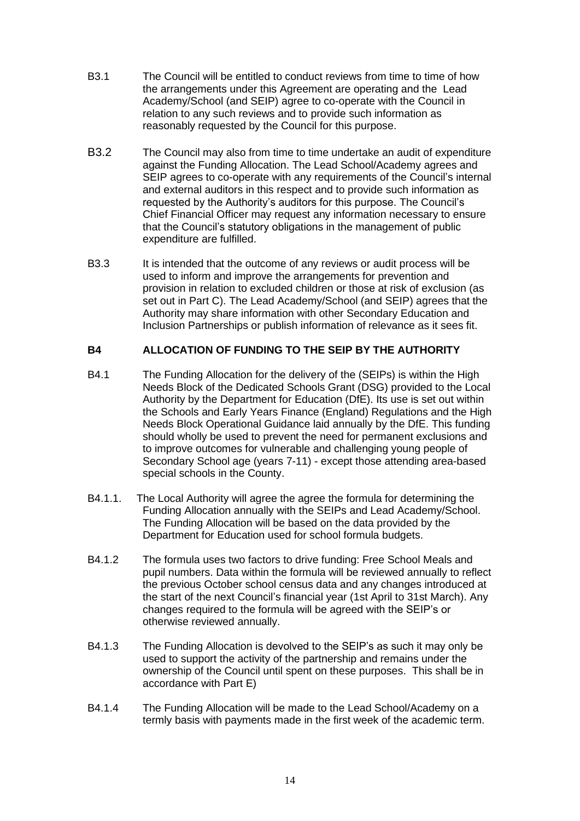- B3.1 The Council will be entitled to conduct reviews from time to time of how the arrangements under this Agreement are operating and the Lead Academy/School (and SEIP) agree to co-operate with the Council in relation to any such reviews and to provide such information as reasonably requested by the Council for this purpose.
- B3.2 The Council may also from time to time undertake an audit of expenditure against the Funding Allocation. The Lead School/Academy agrees and SEIP agrees to co-operate with any requirements of the Council's internal and external auditors in this respect and to provide such information as requested by the Authority's auditors for this purpose. The Council's Chief Financial Officer may request any information necessary to ensure that the Council's statutory obligations in the management of public expenditure are fulfilled.
- B3.3 It is intended that the outcome of any reviews or audit process will be used to inform and improve the arrangements for prevention and provision in relation to excluded children or those at risk of exclusion (as set out in Part C). The Lead Academy/School (and SEIP) agrees that the Authority may share information with other Secondary Education and Inclusion Partnerships or publish information of relevance as it sees fit.

## **B4 ALLOCATION OF FUNDING TO THE SEIP BY THE AUTHORITY**

- B4.1 The Funding Allocation for the delivery of the (SEIPs) is within the High Needs Block of the Dedicated Schools Grant (DSG) provided to the Local Authority by the Department for Education (DfE). Its use is set out within the Schools and Early Years Finance (England) Regulations and the High Needs Block Operational Guidance laid annually by the DfE. This funding should wholly be used to prevent the need for permanent exclusions and to improve outcomes for vulnerable and challenging young people of Secondary School age (years 7-11) - except those attending area-based special schools in the County.
- B4.1.1. The Local Authority will agree the agree the formula for determining the Funding Allocation annually with the SEIPs and Lead Academy/School. The Funding Allocation will be based on the data provided by the Department for Education used for school formula budgets.
- B4.1.2 The formula uses two factors to drive funding: Free School Meals and pupil numbers. Data within the formula will be reviewed annually to reflect the previous October school census data and any changes introduced at the start of the next Council's financial year (1st April to 31st March). Any changes required to the formula will be agreed with the SEIP's or otherwise reviewed annually.
- B4.1.3 The Funding Allocation is devolved to the SEIP's as such it may only be used to support the activity of the partnership and remains under the ownership of the Council until spent on these purposes. This shall be in accordance with Part E)
- B4.1.4 The Funding Allocation will be made to the Lead School/Academy on a termly basis with payments made in the first week of the academic term.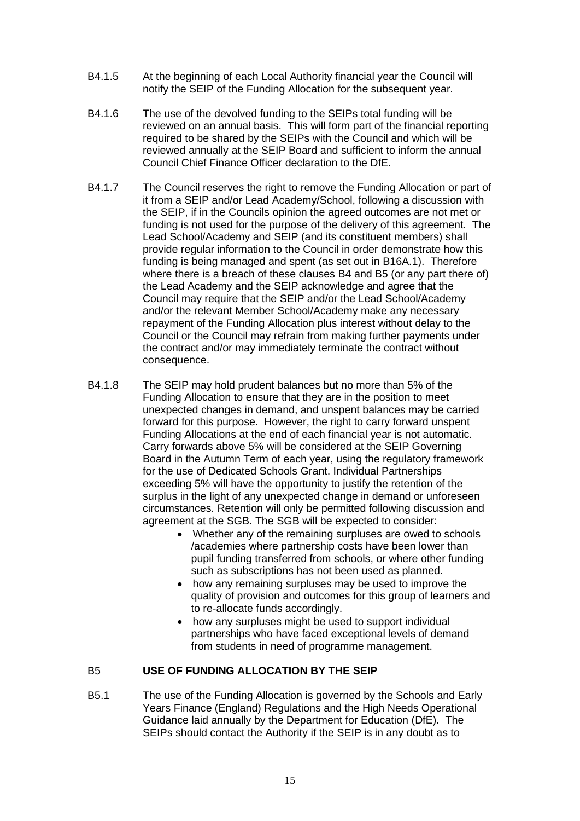- B4.1.5 At the beginning of each Local Authority financial year the Council will notify the SEIP of the Funding Allocation for the subsequent year.
- B4.1.6 The use of the devolved funding to the SEIPs total funding will be reviewed on an annual basis. This will form part of the financial reporting required to be shared by the SEIPs with the Council and which will be reviewed annually at the SEIP Board and sufficient to inform the annual Council Chief Finance Officer declaration to the DfE.
- B4.1.7 The Council reserves the right to remove the Funding Allocation or part of it from a SEIP and/or Lead Academy/School, following a discussion with the SEIP, if in the Councils opinion the agreed outcomes are not met or funding is not used for the purpose of the delivery of this agreement. The Lead School/Academy and SEIP (and its constituent members) shall provide regular information to the Council in order demonstrate how this funding is being managed and spent (as set out in B16A.1). Therefore where there is a breach of these clauses B4 and B5 (or any part there of) the Lead Academy and the SEIP acknowledge and agree that the Council may require that the SEIP and/or the Lead School/Academy and/or the relevant Member School/Academy make any necessary repayment of the Funding Allocation plus interest without delay to the Council or the Council may refrain from making further payments under the contract and/or may immediately terminate the contract without consequence.
- B4.1.8 The SEIP may hold prudent balances but no more than 5% of the Funding Allocation to ensure that they are in the position to meet unexpected changes in demand, and unspent balances may be carried forward for this purpose. However, the right to carry forward unspent Funding Allocations at the end of each financial year is not automatic. Carry forwards above 5% will be considered at the SEIP Governing Board in the Autumn Term of each year, using the regulatory framework for the use of Dedicated Schools Grant. Individual Partnerships exceeding 5% will have the opportunity to justify the retention of the surplus in the light of any unexpected change in demand or unforeseen circumstances. Retention will only be permitted following discussion and agreement at the SGB. The SGB will be expected to consider:
	- Whether any of the remaining surpluses are owed to schools /academies where partnership costs have been lower than pupil funding transferred from schools, or where other funding such as subscriptions has not been used as planned.
	- how any remaining surpluses may be used to improve the quality of provision and outcomes for this group of learners and to re-allocate funds accordingly.
	- how any surpluses might be used to support individual partnerships who have faced exceptional levels of demand from students in need of programme management.

## B5 **USE OF FUNDING ALLOCATION BY THE SEIP**

B5.1 The use of the Funding Allocation is governed by the Schools and Early Years Finance (England) Regulations and the High Needs Operational Guidance laid annually by the Department for Education (DfE). The SEIPs should contact the Authority if the SEIP is in any doubt as to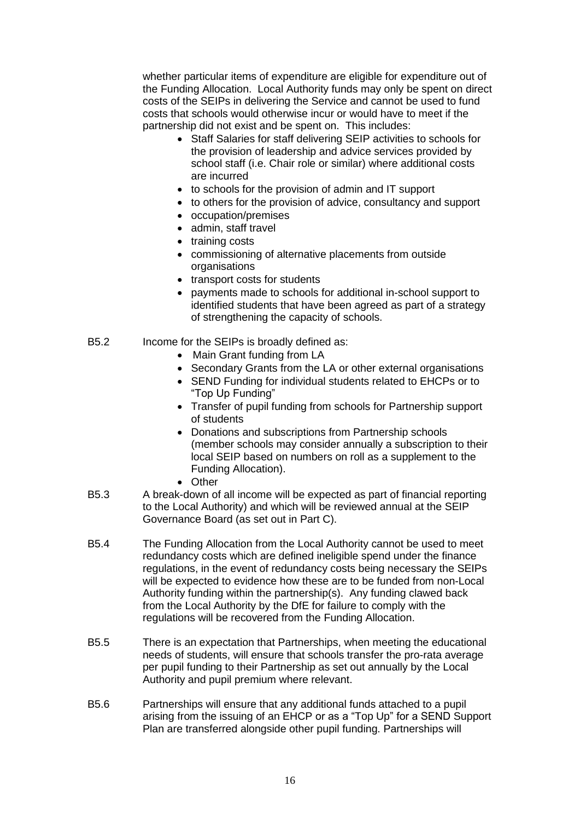whether particular items of expenditure are eligible for expenditure out of the Funding Allocation. Local Authority funds may only be spent on direct costs of the SEIPs in delivering the Service and cannot be used to fund costs that schools would otherwise incur or would have to meet if the partnership did not exist and be spent on. This includes:

- Staff Salaries for staff delivering SEIP activities to schools for the provision of leadership and advice services provided by school staff (i.e. Chair role or similar) where additional costs are incurred
- to schools for the provision of admin and IT support
- to others for the provision of advice, consultancy and support
- occupation/premises
- admin, staff travel
- training costs
- commissioning of alternative placements from outside organisations
- transport costs for students
- payments made to schools for additional in-school support to identified students that have been agreed as part of a strategy of strengthening the capacity of schools.
- B5.2 Income for the SEIPs is broadly defined as:
	- Main Grant funding from LA
	- Secondary Grants from the LA or other external organisations
	- SEND Funding for individual students related to EHCPs or to "Top Up Funding"
	- Transfer of pupil funding from schools for Partnership support of students
	- Donations and subscriptions from Partnership schools (member schools may consider annually a subscription to their local SEIP based on numbers on roll as a supplement to the Funding Allocation).
	- Other
- B5.3 A break-down of all income will be expected as part of financial reporting to the Local Authority) and which will be reviewed annual at the SEIP Governance Board (as set out in Part C).
- B5.4 The Funding Allocation from the Local Authority cannot be used to meet redundancy costs which are defined ineligible spend under the finance regulations, in the event of redundancy costs being necessary the SEIPs will be expected to evidence how these are to be funded from non-Local Authority funding within the partnership(s). Any funding clawed back from the Local Authority by the DfE for failure to comply with the regulations will be recovered from the Funding Allocation.
- B5.5 There is an expectation that Partnerships, when meeting the educational needs of students, will ensure that schools transfer the pro-rata average per pupil funding to their Partnership as set out annually by the Local Authority and pupil premium where relevant.
- B5.6 Partnerships will ensure that any additional funds attached to a pupil arising from the issuing of an EHCP or as a "Top Up" for a SEND Support Plan are transferred alongside other pupil funding. Partnerships will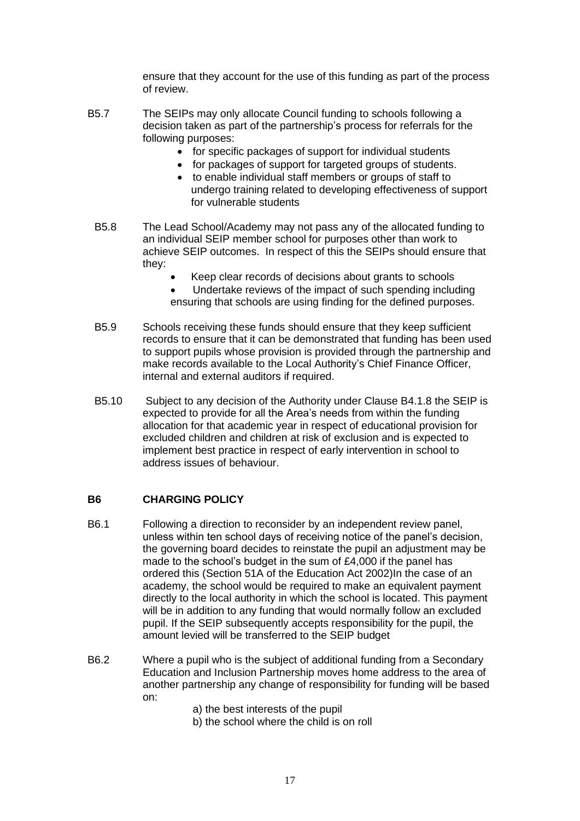ensure that they account for the use of this funding as part of the process of review.

- B5.7 The SEIPs may only allocate Council funding to schools following a decision taken as part of the partnership's process for referrals for the following purposes:
	- for specific packages of support for individual students
	- for packages of support for targeted groups of students.
	- to enable individual staff members or groups of staff to undergo training related to developing effectiveness of support for vulnerable students
	- B5.8 The Lead School/Academy may not pass any of the allocated funding to an individual SEIP member school for purposes other than work to achieve SEIP outcomes. In respect of this the SEIPs should ensure that they:
		- Keep clear records of decisions about grants to schools
		- Undertake reviews of the impact of such spending including ensuring that schools are using finding for the defined purposes.
	- B5.9 Schools receiving these funds should ensure that they keep sufficient records to ensure that it can be demonstrated that funding has been used to support pupils whose provision is provided through the partnership and make records available to the Local Authority's Chief Finance Officer, internal and external auditors if required.
	- B5.10 Subject to any decision of the Authority under Clause B4.1.8 the SEIP is expected to provide for all the Area's needs from within the funding allocation for that academic year in respect of educational provision for excluded children and children at risk of exclusion and is expected to implement best practice in respect of early intervention in school to address issues of behaviour.

## **B6 CHARGING POLICY**

- B6.1 Following a direction to reconsider by an independent review panel, unless within ten school days of receiving notice of the panel's decision, the governing board decides to reinstate the pupil an adjustment may be made to the school's budget in the sum of £4,000 if the panel has ordered this (Section 51A of the Education Act 2002)In the case of an academy, the school would be required to make an equivalent payment directly to the local authority in which the school is located. This payment will be in addition to any funding that would normally follow an excluded pupil. If the SEIP subsequently accepts responsibility for the pupil, the amount levied will be transferred to the SEIP budget
- B6.2 Where a pupil who is the subject of additional funding from a Secondary Education and Inclusion Partnership moves home address to the area of another partnership any change of responsibility for funding will be based on:
	- a) the best interests of the pupil
	- b) the school where the child is on roll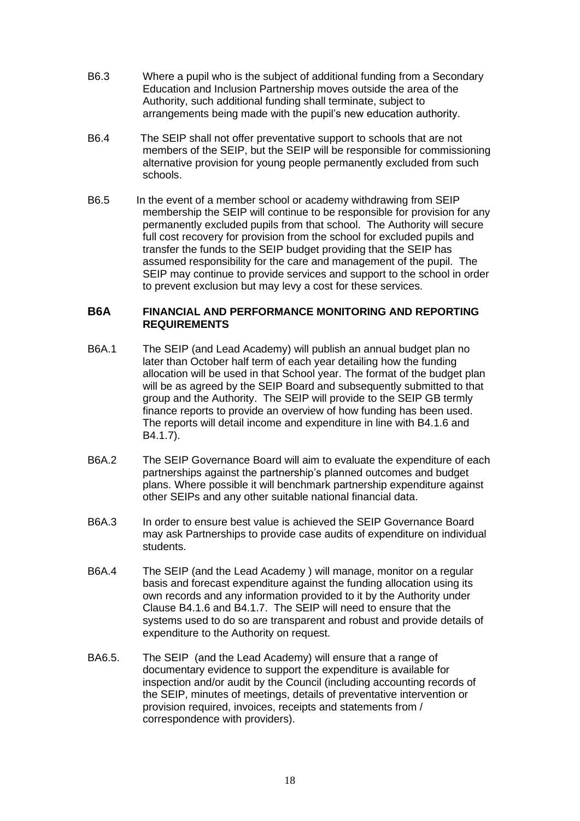- B6.3 Where a pupil who is the subject of additional funding from a Secondary Education and Inclusion Partnership moves outside the area of the Authority, such additional funding shall terminate, subject to arrangements being made with the pupil's new education authority.
- B6.4 The SEIP shall not offer preventative support to schools that are not members of the SEIP, but the SEIP will be responsible for commissioning alternative provision for young people permanently excluded from such schools.
- B6.5 In the event of a member school or academy withdrawing from SEIP membership the SEIP will continue to be responsible for provision for any permanently excluded pupils from that school. The Authority will secure full cost recovery for provision from the school for excluded pupils and transfer the funds to the SEIP budget providing that the SEIP has assumed responsibility for the care and management of the pupil. The SEIP may continue to provide services and support to the school in order to prevent exclusion but may levy a cost for these services.

#### **B6A FINANCIAL AND PERFORMANCE MONITORING AND REPORTING REQUIREMENTS**

- B6A.1 The SEIP (and Lead Academy) will publish an annual budget plan no later than October half term of each year detailing how the funding allocation will be used in that School year. The format of the budget plan will be as agreed by the SEIP Board and subsequently submitted to that group and the Authority. The SEIP will provide to the SEIP GB termly finance reports to provide an overview of how funding has been used. The reports will detail income and expenditure in line with B4.1.6 and B4.1.7).
- B6A.2 The SEIP Governance Board will aim to evaluate the expenditure of each partnerships against the partnership's planned outcomes and budget plans. Where possible it will benchmark partnership expenditure against other SEIPs and any other suitable national financial data.
- B6A.3 In order to ensure best value is achieved the SEIP Governance Board may ask Partnerships to provide case audits of expenditure on individual students.
- B6A.4 The SEIP (and the Lead Academy ) will manage, monitor on a regular basis and forecast expenditure against the funding allocation using its own records and any information provided to it by the Authority under Clause B4.1.6 and B4.1.7. The SEIP will need to ensure that the systems used to do so are transparent and robust and provide details of expenditure to the Authority on request.
- BA6.5. The SEIP (and the Lead Academy) will ensure that a range of documentary evidence to support the expenditure is available for inspection and/or audit by the Council (including accounting records of the SEIP, minutes of meetings, details of preventative intervention or provision required, invoices, receipts and statements from / correspondence with providers).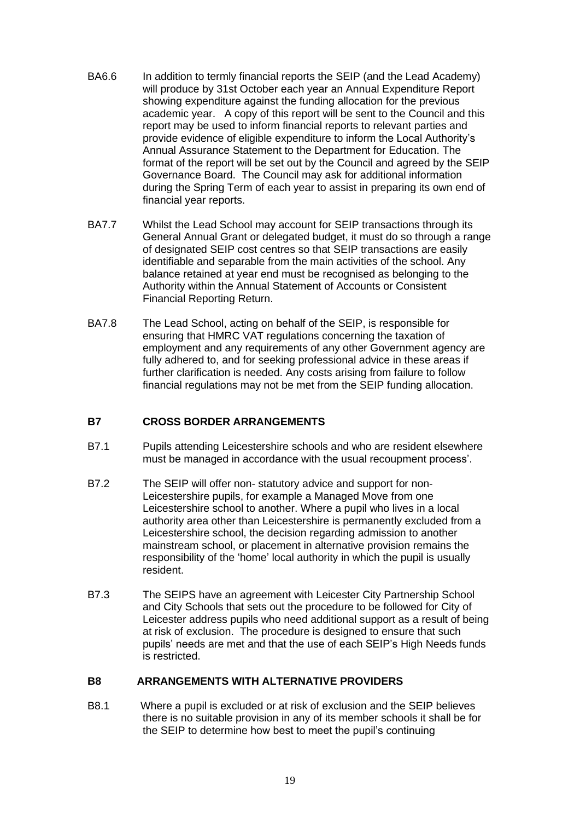- BA6.6 In addition to termly financial reports the SEIP (and the Lead Academy) will produce by 31st October each year an Annual Expenditure Report showing expenditure against the funding allocation for the previous academic year. A copy of this report will be sent to the Council and this report may be used to inform financial reports to relevant parties and provide evidence of eligible expenditure to inform the Local Authority's Annual Assurance Statement to the Department for Education. The format of the report will be set out by the Council and agreed by the SEIP Governance Board. The Council may ask for additional information during the Spring Term of each year to assist in preparing its own end of financial year reports.
- BA7.7 Whilst the Lead School may account for SEIP transactions through its General Annual Grant or delegated budget, it must do so through a range of designated SEIP cost centres so that SEIP transactions are easily identifiable and separable from the main activities of the school. Any balance retained at year end must be recognised as belonging to the Authority within the Annual Statement of Accounts or Consistent Financial Reporting Return.
- BA7.8 The Lead School, acting on behalf of the SEIP, is responsible for ensuring that HMRC VAT regulations concerning the taxation of employment and any requirements of any other Government agency are fully adhered to, and for seeking professional advice in these areas if further clarification is needed. Any costs arising from failure to follow financial regulations may not be met from the SEIP funding allocation.

## **B7 CROSS BORDER ARRANGEMENTS**

- B7.1 Pupils attending Leicestershire schools and who are resident elsewhere must be managed in accordance with the usual recoupment process'.
- B7.2 The SEIP will offer non- statutory advice and support for non-Leicestershire pupils, for example a Managed Move from one Leicestershire school to another. Where a pupil who lives in a local authority area other than Leicestershire is permanently excluded from a Leicestershire school, the decision regarding admission to another mainstream school, or placement in alternative provision remains the responsibility of the 'home' local authority in which the pupil is usually resident.
- B7.3 The SEIPS have an agreement with Leicester City Partnership School and City Schools that sets out the procedure to be followed for City of Leicester address pupils who need additional support as a result of being at risk of exclusion. The procedure is designed to ensure that such pupils' needs are met and that the use of each SEIP's High Needs funds is restricted.

#### **B8 ARRANGEMENTS WITH ALTERNATIVE PROVIDERS**

B8.1Where a pupil is excluded or at risk of exclusion and the SEIP believes there is no suitable provision in any of its member schools it shall be for the SEIP to determine how best to meet the pupil's continuing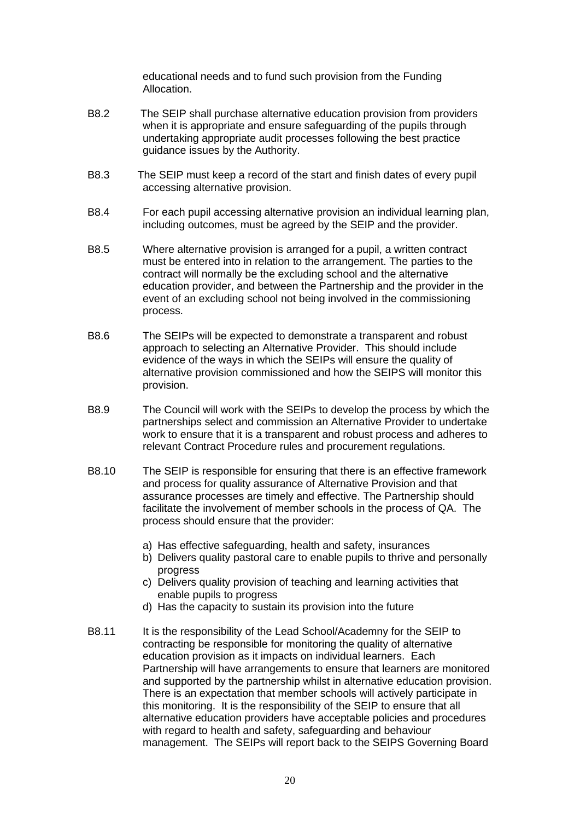educational needs and to fund such provision from the Funding Allocation.

- B8.2 The SEIP shall purchase alternative education provision from providers when it is appropriate and ensure safeguarding of the pupils through undertaking appropriate audit processes following the best practice guidance issues by the Authority.
- B8.3 The SEIP must keep a record of the start and finish dates of every pupil accessing alternative provision.
- B8.4 For each pupil accessing alternative provision an individual learning plan, including outcomes, must be agreed by the SEIP and the provider.
- B8.5 Where alternative provision is arranged for a pupil, a written contract must be entered into in relation to the arrangement. The parties to the contract will normally be the excluding school and the alternative education provider, and between the Partnership and the provider in the event of an excluding school not being involved in the commissioning process.
- B8.6 The SEIPs will be expected to demonstrate a transparent and robust approach to selecting an Alternative Provider. This should include evidence of the ways in which the SEIPs will ensure the quality of alternative provision commissioned and how the SEIPS will monitor this provision.
- B8.9 The Council will work with the SEIPs to develop the process by which the partnerships select and commission an Alternative Provider to undertake work to ensure that it is a transparent and robust process and adheres to relevant Contract Procedure rules and procurement regulations.
- B8.10 The SEIP is responsible for ensuring that there is an effective framework and process for quality assurance of Alternative Provision and that assurance processes are timely and effective. The Partnership should facilitate the involvement of member schools in the process of QA. The process should ensure that the provider:
	- a) Has effective safeguarding, health and safety, insurances
	- b) Delivers quality pastoral care to enable pupils to thrive and personally progress
	- c) Delivers quality provision of teaching and learning activities that enable pupils to progress
	- d) Has the capacity to sustain its provision into the future
- B8.11 It is the responsibility of the Lead School/Academny for the SEIP to contracting be responsible for monitoring the quality of alternative education provision as it impacts on individual learners. Each Partnership will have arrangements to ensure that learners are monitored and supported by the partnership whilst in alternative education provision. There is an expectation that member schools will actively participate in this monitoring. It is the responsibility of the SEIP to ensure that all alternative education providers have acceptable policies and procedures with regard to health and safety, safeguarding and behaviour management. The SEIPs will report back to the SEIPS Governing Board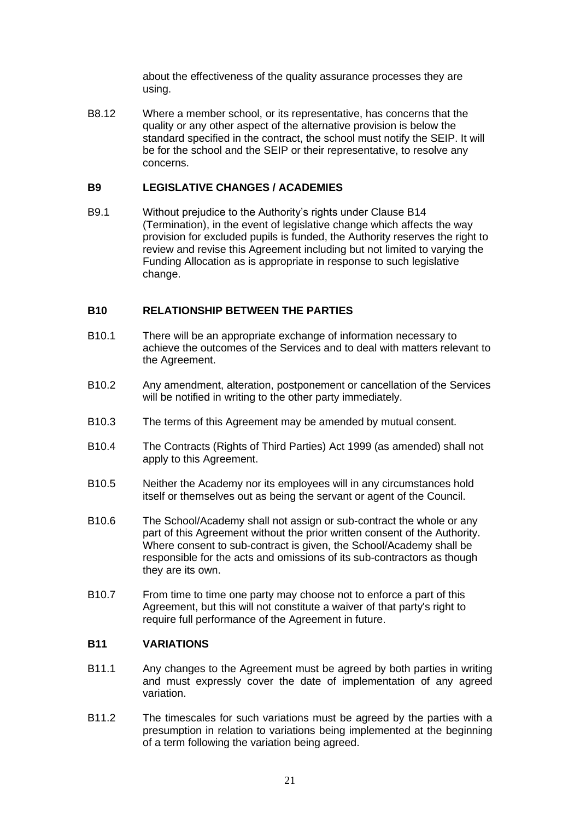about the effectiveness of the quality assurance processes they are using.

B8.12 Where a member school, or its representative, has concerns that the quality or any other aspect of the alternative provision is below the standard specified in the contract, the school must notify the SEIP. It will be for the school and the SEIP or their representative, to resolve any concerns.

#### **B9 LEGISLATIVE CHANGES / ACADEMIES**

B9.1 Without prejudice to the Authority's rights under Clause B14 (Termination), in the event of legislative change which affects the way provision for excluded pupils is funded, the Authority reserves the right to review and revise this Agreement including but not limited to varying the Funding Allocation as is appropriate in response to such legislative change.

#### **B10 RELATIONSHIP BETWEEN THE PARTIES**

- B10.1 There will be an appropriate exchange of information necessary to achieve the outcomes of the Services and to deal with matters relevant to the Agreement.
- B10.2 Any amendment, alteration, postponement or cancellation of the Services will be notified in writing to the other party immediately.
- B10.3 The terms of this Agreement may be amended by mutual consent.
- B10.4 The Contracts (Rights of Third Parties) Act 1999 (as amended) shall not apply to this Agreement.
- B10.5 Neither the Academy nor its employees will in any circumstances hold itself or themselves out as being the servant or agent of the Council.
- B10.6 The School/Academy shall not assign or sub-contract the whole or any part of this Agreement without the prior written consent of the Authority. Where consent to sub-contract is given, the School/Academy shall be responsible for the acts and omissions of its sub-contractors as though they are its own.
- B10.7 From time to time one party may choose not to enforce a part of this Agreement, but this will not constitute a waiver of that party's right to require full performance of the Agreement in future.

#### **B11 VARIATIONS**

- B11.1 Any changes to the Agreement must be agreed by both parties in writing and must expressly cover the date of implementation of any agreed variation.
- B11.2 The timescales for such variations must be agreed by the parties with a presumption in relation to variations being implemented at the beginning of a term following the variation being agreed.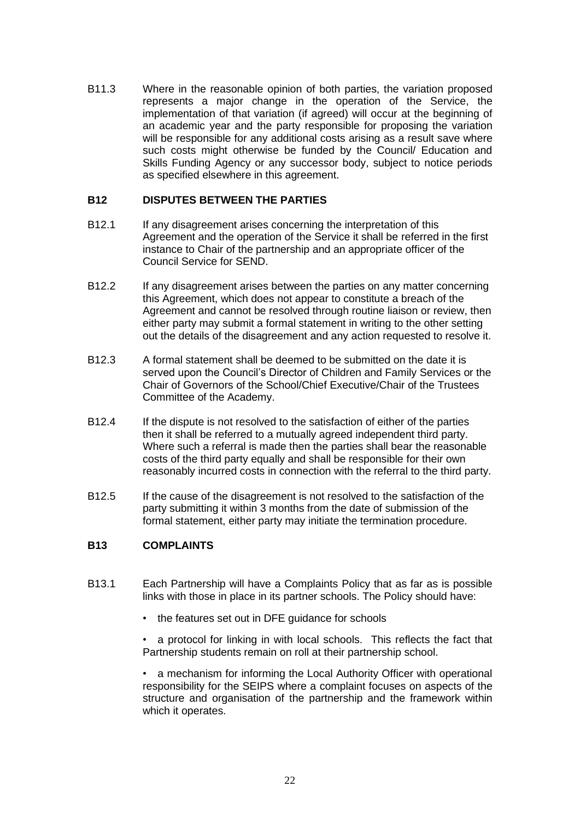B11.3 Where in the reasonable opinion of both parties, the variation proposed represents a major change in the operation of the Service, the implementation of that variation (if agreed) will occur at the beginning of an academic year and the party responsible for proposing the variation will be responsible for any additional costs arising as a result save where such costs might otherwise be funded by the Council/ Education and Skills Funding Agency or any successor body, subject to notice periods as specified elsewhere in this agreement.

## **B12 DISPUTES BETWEEN THE PARTIES**

- B12.1 If any disagreement arises concerning the interpretation of this Agreement and the operation of the Service it shall be referred in the first instance to Chair of the partnership and an appropriate officer of the Council Service for SEND.
- B12.2 If any disagreement arises between the parties on any matter concerning this Agreement, which does not appear to constitute a breach of the Agreement and cannot be resolved through routine liaison or review, then either party may submit a formal statement in writing to the other setting out the details of the disagreement and any action requested to resolve it.
- B12.3 A formal statement shall be deemed to be submitted on the date it is served upon the Council's Director of Children and Family Services or the Chair of Governors of the School/Chief Executive/Chair of the Trustees Committee of the Academy.
- B12.4 If the dispute is not resolved to the satisfaction of either of the parties then it shall be referred to a mutually agreed independent third party. Where such a referral is made then the parties shall bear the reasonable costs of the third party equally and shall be responsible for their own reasonably incurred costs in connection with the referral to the third party.
- B12.5 If the cause of the disagreement is not resolved to the satisfaction of the party submitting it within 3 months from the date of submission of the formal statement, either party may initiate the termination procedure.

## **B13 COMPLAINTS**

- B13.1 Each Partnership will have a Complaints Policy that as far as is possible links with those in place in its partner schools. The Policy should have:
	- the features set out in DFE guidance for schools

• a protocol for linking in with local schools. This reflects the fact that Partnership students remain on roll at their partnership school.

• a mechanism for informing the Local Authority Officer with operational responsibility for the SEIPS where a complaint focuses on aspects of the structure and organisation of the partnership and the framework within which it operates.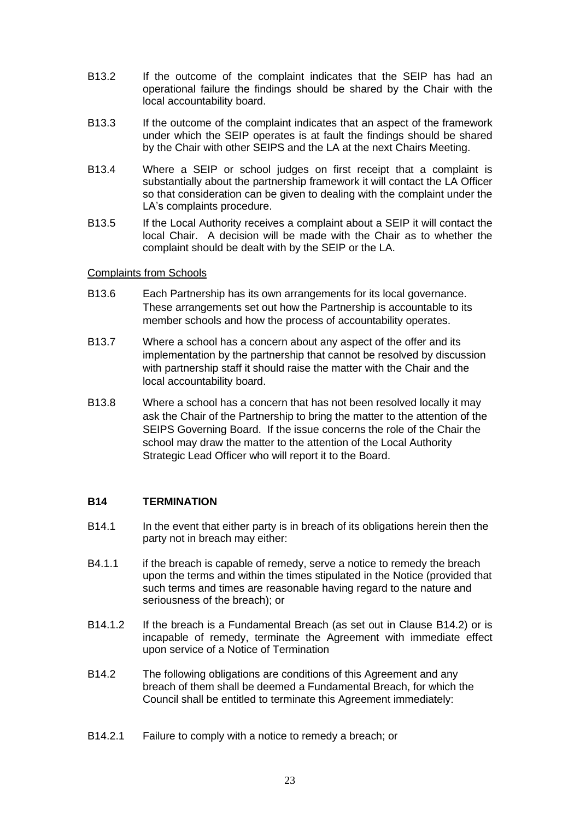- B13.2 If the outcome of the complaint indicates that the SEIP has had an operational failure the findings should be shared by the Chair with the local accountability board.
- B13.3 If the outcome of the complaint indicates that an aspect of the framework under which the SEIP operates is at fault the findings should be shared by the Chair with other SEIPS and the LA at the next Chairs Meeting.
- B13.4 Where a SEIP or school judges on first receipt that a complaint is substantially about the partnership framework it will contact the LA Officer so that consideration can be given to dealing with the complaint under the LA's complaints procedure.
- B13.5 If the Local Authority receives a complaint about a SEIP it will contact the local Chair. A decision will be made with the Chair as to whether the complaint should be dealt with by the SEIP or the LA.

#### Complaints from Schools

- B13.6 Each Partnership has its own arrangements for its local governance. These arrangements set out how the Partnership is accountable to its member schools and how the process of accountability operates.
- B13.7 Where a school has a concern about any aspect of the offer and its implementation by the partnership that cannot be resolved by discussion with partnership staff it should raise the matter with the Chair and the local accountability board.
- B13.8 Where a school has a concern that has not been resolved locally it may ask the Chair of the Partnership to bring the matter to the attention of the SEIPS Governing Board. If the issue concerns the role of the Chair the school may draw the matter to the attention of the Local Authority Strategic Lead Officer who will report it to the Board.

## **B14 TERMINATION**

- B14.1 In the event that either party is in breach of its obligations herein then the party not in breach may either:
- B4.1.1 if the breach is capable of remedy, serve a notice to remedy the breach upon the terms and within the times stipulated in the Notice (provided that such terms and times are reasonable having regard to the nature and seriousness of the breach); or
- B14.1.2 If the breach is a Fundamental Breach (as set out in Clause B14.2) or is incapable of remedy, terminate the Agreement with immediate effect upon service of a Notice of Termination
- B14.2 The following obligations are conditions of this Agreement and any breach of them shall be deemed a Fundamental Breach, for which the Council shall be entitled to terminate this Agreement immediately:
- B14.2.1 Failure to comply with a notice to remedy a breach; or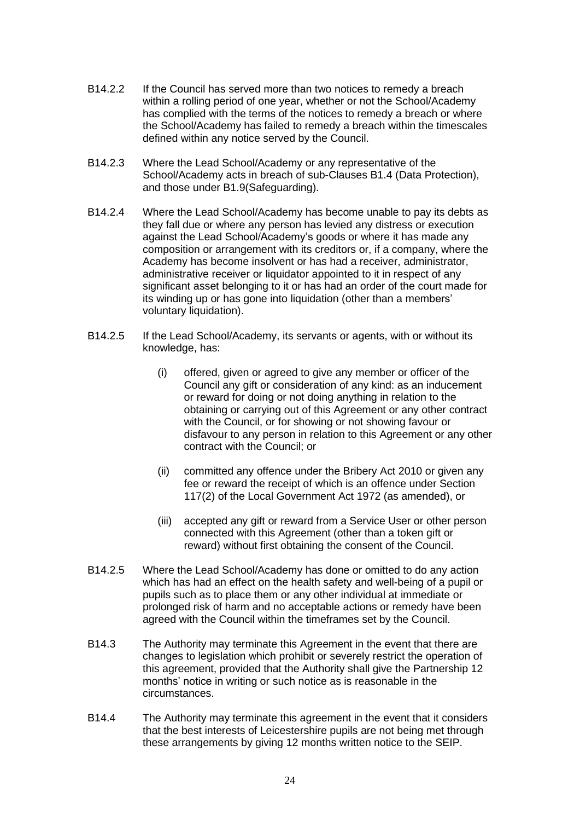- B14.2.2 If the Council has served more than two notices to remedy a breach within a rolling period of one year, whether or not the School/Academy has complied with the terms of the notices to remedy a breach or where the School/Academy has failed to remedy a breach within the timescales defined within any notice served by the Council.
- B14.2.3 Where the Lead School/Academy or any representative of the School/Academy acts in breach of sub-Clauses B1.4 (Data Protection), and those under B1.9(Safeguarding).
- B14.2.4 Where the Lead School/Academy has become unable to pay its debts as they fall due or where any person has levied any distress or execution against the Lead School/Academy's goods or where it has made any composition or arrangement with its creditors or, if a company, where the Academy has become insolvent or has had a receiver, administrator, administrative receiver or liquidator appointed to it in respect of any significant asset belonging to it or has had an order of the court made for its winding up or has gone into liquidation (other than a members' voluntary liquidation).
- B14.2.5 If the Lead School/Academy, its servants or agents, with or without its knowledge, has:
	- (i) offered, given or agreed to give any member or officer of the Council any gift or consideration of any kind: as an inducement or reward for doing or not doing anything in relation to the obtaining or carrying out of this Agreement or any other contract with the Council, or for showing or not showing favour or disfavour to any person in relation to this Agreement or any other contract with the Council; or
	- (ii) committed any offence under the Bribery Act 2010 or given any fee or reward the receipt of which is an offence under Section 117(2) of the Local Government Act 1972 (as amended), or
	- (iii) accepted any gift or reward from a Service User or other person connected with this Agreement (other than a token gift or reward) without first obtaining the consent of the Council.
- B14.2.5 Where the Lead School/Academy has done or omitted to do any action which has had an effect on the health safety and well-being of a pupil or pupils such as to place them or any other individual at immediate or prolonged risk of harm and no acceptable actions or remedy have been agreed with the Council within the timeframes set by the Council.
- B14.3 The Authority may terminate this Agreement in the event that there are changes to legislation which prohibit or severely restrict the operation of this agreement, provided that the Authority shall give the Partnership 12 months' notice in writing or such notice as is reasonable in the circumstances.
- B14.4 The Authority may terminate this agreement in the event that it considers that the best interests of Leicestershire pupils are not being met through these arrangements by giving 12 months written notice to the SEIP.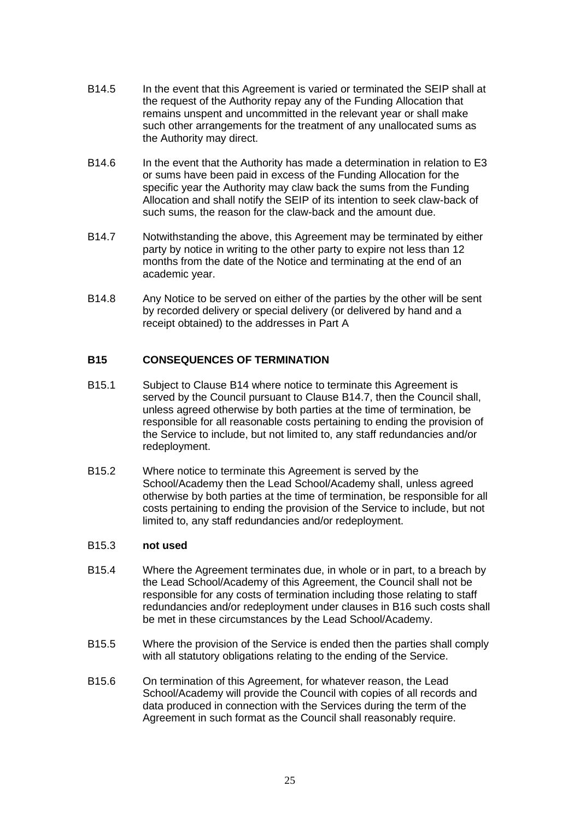- B14.5 In the event that this Agreement is varied or terminated the SEIP shall at the request of the Authority repay any of the Funding Allocation that remains unspent and uncommitted in the relevant year or shall make such other arrangements for the treatment of any unallocated sums as the Authority may direct.
- B14.6 In the event that the Authority has made a determination in relation to E3 or sums have been paid in excess of the Funding Allocation for the specific year the Authority may claw back the sums from the Funding Allocation and shall notify the SEIP of its intention to seek claw-back of such sums, the reason for the claw-back and the amount due.
- B14.7 Notwithstanding the above, this Agreement may be terminated by either party by notice in writing to the other party to expire not less than 12 months from the date of the Notice and terminating at the end of an academic year.
- B14.8 Any Notice to be served on either of the parties by the other will be sent by recorded delivery or special delivery (or delivered by hand and a receipt obtained) to the addresses in Part A

## **B15 CONSEQUENCES OF TERMINATION**

- B15.1 Subject to Clause B14 where notice to terminate this Agreement is served by the Council pursuant to Clause B14.7, then the Council shall, unless agreed otherwise by both parties at the time of termination, be responsible for all reasonable costs pertaining to ending the provision of the Service to include, but not limited to, any staff redundancies and/or redeployment.
- B15.2 Where notice to terminate this Agreement is served by the School/Academy then the Lead School/Academy shall, unless agreed otherwise by both parties at the time of termination, be responsible for all costs pertaining to ending the provision of the Service to include, but not limited to, any staff redundancies and/or redeployment.

## B15.3 **not used**

- B15.4 Where the Agreement terminates due, in whole or in part, to a breach by the Lead School/Academy of this Agreement, the Council shall not be responsible for any costs of termination including those relating to staff redundancies and/or redeployment under clauses in B16 such costs shall be met in these circumstances by the Lead School/Academy.
- B15.5 Where the provision of the Service is ended then the parties shall comply with all statutory obligations relating to the ending of the Service.
- B15.6 On termination of this Agreement, for whatever reason, the Lead School/Academy will provide the Council with copies of all records and data produced in connection with the Services during the term of the Agreement in such format as the Council shall reasonably require.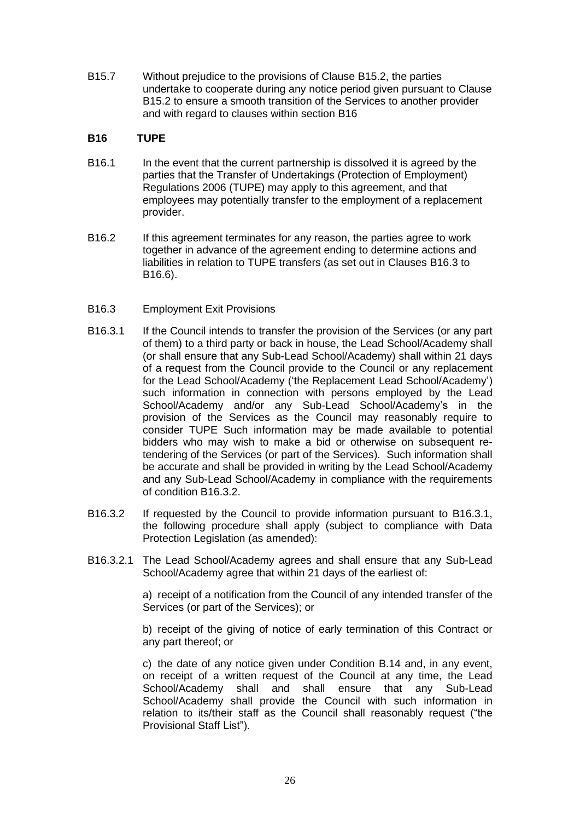B15.7 Without prejudice to the provisions of Clause B15.2, the parties undertake to cooperate during any notice period given pursuant to Clause B15.2 to ensure a smooth transition of the Services to another provider and with regard to clauses within section B16

## **B16 TUPE**

- B16.1 In the event that the current partnership is dissolved it is agreed by the parties that the Transfer of Undertakings (Protection of Employment) Regulations 2006 (TUPE) may apply to this agreement, and that employees may potentially transfer to the employment of a replacement provider.
- B16.2 If this agreement terminates for any reason, the parties agree to work together in advance of the agreement ending to determine actions and liabilities in relation to TUPE transfers (as set out in Clauses B16.3 to B16.6).
- B16.3 Employment Exit Provisions
- B16.3.1 If the Council intends to transfer the provision of the Services (or any part of them) to a third party or back in house, the Lead School/Academy shall (or shall ensure that any Sub-Lead School/Academy) shall within 21 days of a request from the Council provide to the Council or any replacement for the Lead School/Academy ('the Replacement Lead School/Academy') such information in connection with persons employed by the Lead School/Academy and/or any Sub-Lead School/Academy's in the provision of the Services as the Council may reasonably require to consider TUPE Such information may be made available to potential bidders who may wish to make a bid or otherwise on subsequent retendering of the Services (or part of the Services). Such information shall be accurate and shall be provided in writing by the Lead School/Academy and any Sub-Lead School/Academy in compliance with the requirements of condition B16.3.2.
- B16.3.2 If requested by the Council to provide information pursuant to B16.3.1, the following procedure shall apply (subject to compliance with Data Protection Legislation (as amended):
- B16.3.2.1 The Lead School/Academy agrees and shall ensure that any Sub-Lead School/Academy agree that within 21 days of the earliest of:

a) receipt of a notification from the Council of any intended transfer of the Services (or part of the Services); or

b) receipt of the giving of notice of early termination of this Contract or any part thereof; or

c) the date of any notice given under Condition B.14 and, in any event, on receipt of a written request of the Council at any time, the Lead School/Academy shall and shall ensure that any Sub-Lead School/Academy shall provide the Council with such information in relation to its/their staff as the Council shall reasonably request ("the Provisional Staff List").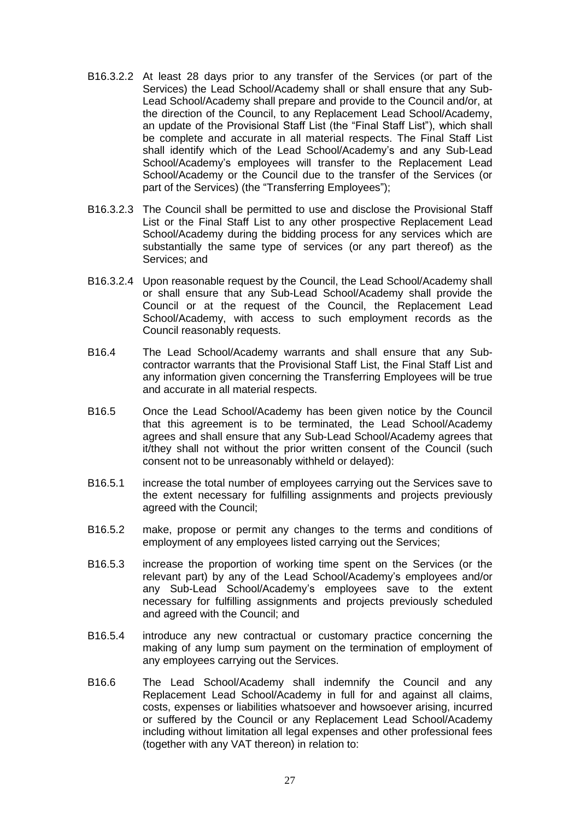- B16.3.2.2 At least 28 days prior to any transfer of the Services (or part of the Services) the Lead School/Academy shall or shall ensure that any Sub-Lead School/Academy shall prepare and provide to the Council and/or, at the direction of the Council, to any Replacement Lead School/Academy, an update of the Provisional Staff List (the "Final Staff List"), which shall be complete and accurate in all material respects. The Final Staff List shall identify which of the Lead School/Academy's and any Sub-Lead School/Academy's employees will transfer to the Replacement Lead School/Academy or the Council due to the transfer of the Services (or part of the Services) (the "Transferring Employees");
- B16.3.2.3 The Council shall be permitted to use and disclose the Provisional Staff List or the Final Staff List to any other prospective Replacement Lead School/Academy during the bidding process for any services which are substantially the same type of services (or any part thereof) as the Services; and
- B16.3.2.4 Upon reasonable request by the Council, the Lead School/Academy shall or shall ensure that any Sub-Lead School/Academy shall provide the Council or at the request of the Council, the Replacement Lead School/Academy, with access to such employment records as the Council reasonably requests.
- B16.4 The Lead School/Academy warrants and shall ensure that any Subcontractor warrants that the Provisional Staff List, the Final Staff List and any information given concerning the Transferring Employees will be true and accurate in all material respects.
- B16.5 Once the Lead School/Academy has been given notice by the Council that this agreement is to be terminated, the Lead School/Academy agrees and shall ensure that any Sub-Lead School/Academy agrees that it/they shall not without the prior written consent of the Council (such consent not to be unreasonably withheld or delayed):
- B16.5.1 increase the total number of employees carrying out the Services save to the extent necessary for fulfilling assignments and projects previously agreed with the Council;
- B16.5.2 make, propose or permit any changes to the terms and conditions of employment of any employees listed carrying out the Services;
- B16.5.3 increase the proportion of working time spent on the Services (or the relevant part) by any of the Lead School/Academy's employees and/or any Sub-Lead School/Academy's employees save to the extent necessary for fulfilling assignments and projects previously scheduled and agreed with the Council; and
- B16.5.4 introduce any new contractual or customary practice concerning the making of any lump sum payment on the termination of employment of any employees carrying out the Services.
- B16.6 The Lead School/Academy shall indemnify the Council and any Replacement Lead School/Academy in full for and against all claims, costs, expenses or liabilities whatsoever and howsoever arising, incurred or suffered by the Council or any Replacement Lead School/Academy including without limitation all legal expenses and other professional fees (together with any VAT thereon) in relation to: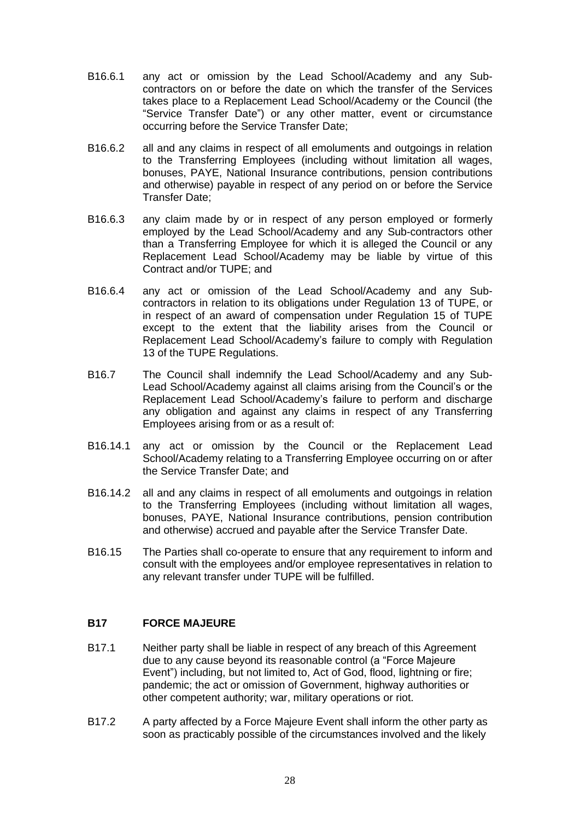- B16.6.1 any act or omission by the Lead School/Academy and any Subcontractors on or before the date on which the transfer of the Services takes place to a Replacement Lead School/Academy or the Council (the "Service Transfer Date") or any other matter, event or circumstance occurring before the Service Transfer Date;
- B16.6.2 all and any claims in respect of all emoluments and outgoings in relation to the Transferring Employees (including without limitation all wages, bonuses, PAYE, National Insurance contributions, pension contributions and otherwise) payable in respect of any period on or before the Service Transfer Date;
- B16.6.3 any claim made by or in respect of any person employed or formerly employed by the Lead School/Academy and any Sub-contractors other than a Transferring Employee for which it is alleged the Council or any Replacement Lead School/Academy may be liable by virtue of this Contract and/or TUPE; and
- B16.6.4 any act or omission of the Lead School/Academy and any Subcontractors in relation to its obligations under Regulation 13 of TUPE, or in respect of an award of compensation under Regulation 15 of TUPE except to the extent that the liability arises from the Council or Replacement Lead School/Academy's failure to comply with Regulation 13 of the TUPE Regulations.
- B16.7 The Council shall indemnify the Lead School/Academy and any Sub-Lead School/Academy against all claims arising from the Council's or the Replacement Lead School/Academy's failure to perform and discharge any obligation and against any claims in respect of any Transferring Employees arising from or as a result of:
- B16.14.1 any act or omission by the Council or the Replacement Lead School/Academy relating to a Transferring Employee occurring on or after the Service Transfer Date; and
- B16.14.2 all and any claims in respect of all emoluments and outgoings in relation to the Transferring Employees (including without limitation all wages, bonuses, PAYE, National Insurance contributions, pension contribution and otherwise) accrued and payable after the Service Transfer Date.
- B16.15 The Parties shall co-operate to ensure that any requirement to inform and consult with the employees and/or employee representatives in relation to any relevant transfer under TUPE will be fulfilled.

## **B17 FORCE MAJEURE**

- B17.1 Neither party shall be liable in respect of any breach of this Agreement due to any cause beyond its reasonable control (a "Force Majeure Event") including, but not limited to, Act of God, flood, lightning or fire; pandemic; the act or omission of Government, highway authorities or other competent authority; war, military operations or riot.
- B17.2 A party affected by a Force Majeure Event shall inform the other party as soon as practicably possible of the circumstances involved and the likely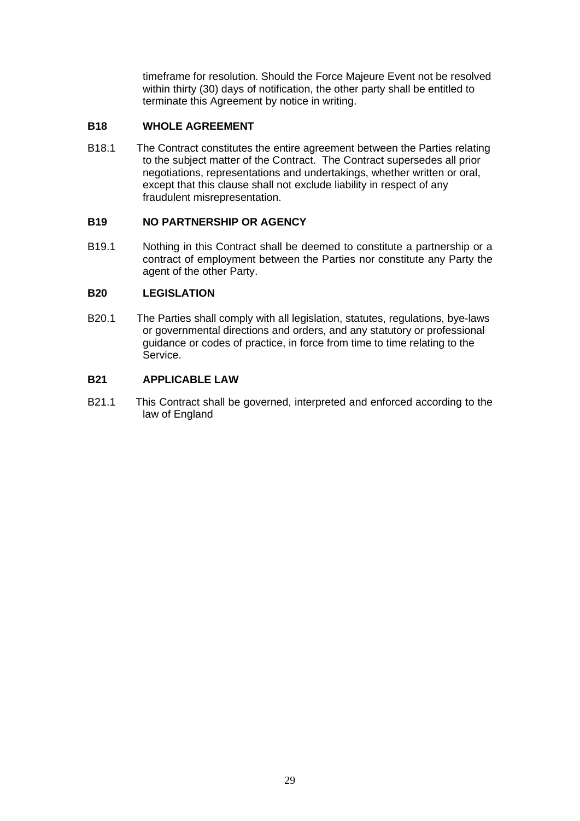timeframe for resolution. Should the Force Majeure Event not be resolved within thirty (30) days of notification, the other party shall be entitled to terminate this Agreement by notice in writing.

## **B18 WHOLE AGREEMENT**

B18.1 The Contract constitutes the entire agreement between the Parties relating to the subject matter of the Contract. The Contract supersedes all prior negotiations, representations and undertakings, whether written or oral, except that this clause shall not exclude liability in respect of any fraudulent misrepresentation.

## **B19 NO PARTNERSHIP OR AGENCY**

B19.1 Nothing in this Contract shall be deemed to constitute a partnership or a contract of employment between the Parties nor constitute any Party the agent of the other Party.

## **B20 LEGISLATION**

B20.1 The Parties shall comply with all legislation, statutes, regulations, bye-laws or governmental directions and orders, and any statutory or professional guidance or codes of practice, in force from time to time relating to the Service.

## **B21 APPLICABLE LAW**

B21.1 This Contract shall be governed, interpreted and enforced according to the law of England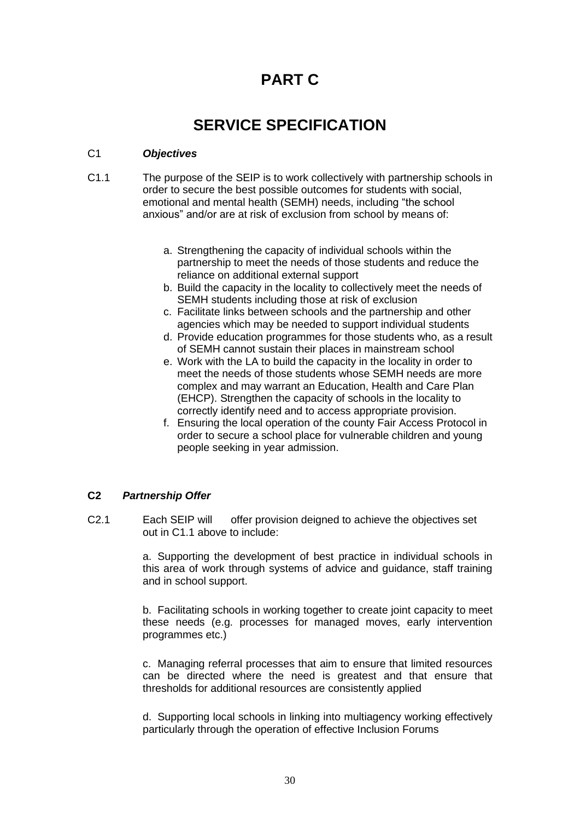# **PART C**

# **SERVICE SPECIFICATION**

## C1 *Objectives*

- C1.1 The purpose of the SEIP is to work collectively with partnership schools in order to secure the best possible outcomes for students with social, emotional and mental health (SEMH) needs, including "the school anxious" and/or are at risk of exclusion from school by means of:
	- a. Strengthening the capacity of individual schools within the partnership to meet the needs of those students and reduce the reliance on additional external support
	- b. Build the capacity in the locality to collectively meet the needs of SEMH students including those at risk of exclusion
	- c. Facilitate links between schools and the partnership and other agencies which may be needed to support individual students
	- d. Provide education programmes for those students who, as a result of SEMH cannot sustain their places in mainstream school
	- e. Work with the LA to build the capacity in the locality in order to meet the needs of those students whose SEMH needs are more complex and may warrant an Education, Health and Care Plan (EHCP). Strengthen the capacity of schools in the locality to correctly identify need and to access appropriate provision.
	- f. Ensuring the local operation of the county Fair Access Protocol in order to secure a school place for vulnerable children and young people seeking in year admission.

## **C2** *Partnership Offer*

C2.1 Each SEIP will offer provision deigned to achieve the objectives set out in C1.1 above to include:

> a. Supporting the development of best practice in individual schools in this area of work through systems of advice and guidance, staff training and in school support.

> b. Facilitating schools in working together to create joint capacity to meet these needs (e.g. processes for managed moves, early intervention programmes etc.)

> c. Managing referral processes that aim to ensure that limited resources can be directed where the need is greatest and that ensure that thresholds for additional resources are consistently applied

> d. Supporting local schools in linking into multiagency working effectively particularly through the operation of effective Inclusion Forums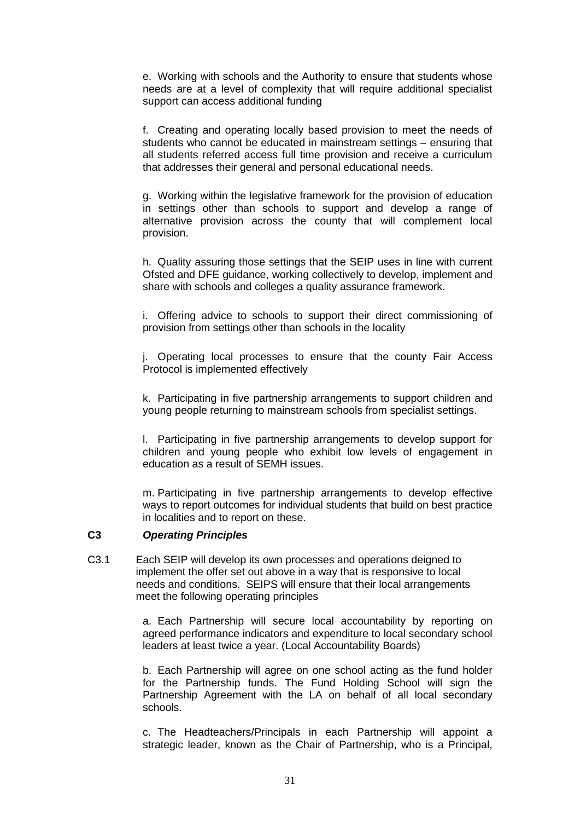e. Working with schools and the Authority to ensure that students whose needs are at a level of complexity that will require additional specialist support can access additional funding

f. Creating and operating locally based provision to meet the needs of students who cannot be educated in mainstream settings – ensuring that all students referred access full time provision and receive a curriculum that addresses their general and personal educational needs.

g. Working within the legislative framework for the provision of education in settings other than schools to support and develop a range of alternative provision across the county that will complement local provision.

h. Quality assuring those settings that the SEIP uses in line with current Ofsted and DFE guidance, working collectively to develop, implement and share with schools and colleges a quality assurance framework.

i. Offering advice to schools to support their direct commissioning of provision from settings other than schools in the locality

j. Operating local processes to ensure that the county Fair Access Protocol is implemented effectively

k. Participating in five partnership arrangements to support children and young people returning to mainstream schools from specialist settings.

l. Participating in five partnership arrangements to develop support for children and young people who exhibit low levels of engagement in education as a result of SEMH issues.

m. Participating in five partnership arrangements to develop effective ways to report outcomes for individual students that build on best practice in localities and to report on these.

#### **C3** *Operating Principles*

C3.1 Each SEIP will develop its own processes and operations deigned to implement the offer set out above in a way that is responsive to local needs and conditions. SEIPS will ensure that their local arrangements meet the following operating principles

> a. Each Partnership will secure local accountability by reporting on agreed performance indicators and expenditure to local secondary school leaders at least twice a year. (Local Accountability Boards)

> b. Each Partnership will agree on one school acting as the fund holder for the Partnership funds. The Fund Holding School will sign the Partnership Agreement with the LA on behalf of all local secondary schools.

> c. The Headteachers/Principals in each Partnership will appoint a strategic leader, known as the Chair of Partnership, who is a Principal,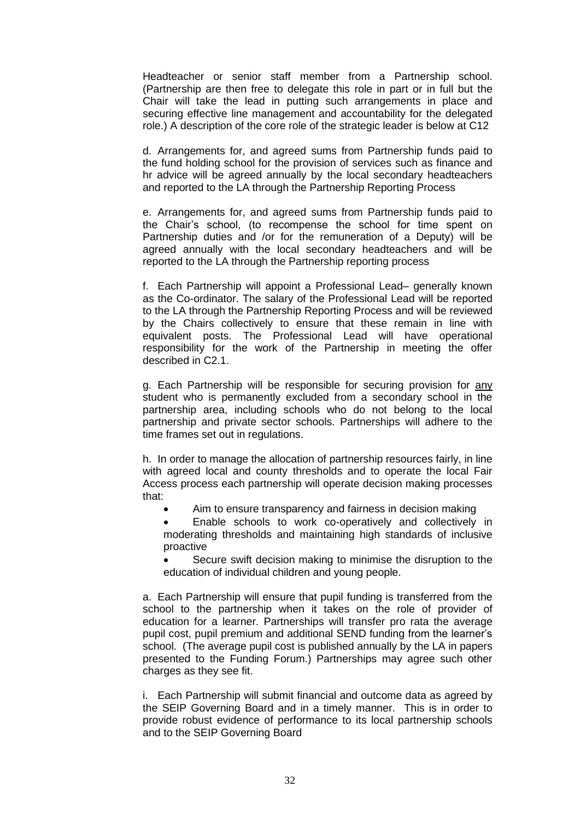Headteacher or senior staff member from a Partnership school. (Partnership are then free to delegate this role in part or in full but the Chair will take the lead in putting such arrangements in place and securing effective line management and accountability for the delegated role.) A description of the core role of the strategic leader is below at C12

d. Arrangements for, and agreed sums from Partnership funds paid to the fund holding school for the provision of services such as finance and hr advice will be agreed annually by the local secondary headteachers and reported to the LA through the Partnership Reporting Process

e. Arrangements for, and agreed sums from Partnership funds paid to the Chair's school, (to recompense the school for time spent on Partnership duties and /or for the remuneration of a Deputy) will be agreed annually with the local secondary headteachers and will be reported to the LA through the Partnership reporting process

f. Each Partnership will appoint a Professional Lead– generally known as the Co-ordinator. The salary of the Professional Lead will be reported to the LA through the Partnership Reporting Process and will be reviewed by the Chairs collectively to ensure that these remain in line with equivalent posts. The Professional Lead will have operational responsibility for the work of the Partnership in meeting the offer described in C2.1.

g. Each Partnership will be responsible for securing provision for any student who is permanently excluded from a secondary school in the partnership area, including schools who do not belong to the local partnership and private sector schools. Partnerships will adhere to the time frames set out in regulations.

h. In order to manage the allocation of partnership resources fairly, in line with agreed local and county thresholds and to operate the local Fair Access process each partnership will operate decision making processes that:

- Aim to ensure transparency and fairness in decision making
- Enable schools to work co-operatively and collectively in moderating thresholds and maintaining high standards of inclusive proactive
- Secure swift decision making to minimise the disruption to the education of individual children and young people.

a. Each Partnership will ensure that pupil funding is transferred from the school to the partnership when it takes on the role of provider of education for a learner. Partnerships will transfer pro rata the average pupil cost, pupil premium and additional SEND funding from the learner's school. (The average pupil cost is published annually by the LA in papers presented to the Funding Forum.) Partnerships may agree such other charges as they see fit.

i. Each Partnership will submit financial and outcome data as agreed by the SEIP Governing Board and in a timely manner. This is in order to provide robust evidence of performance to its local partnership schools and to the SEIP Governing Board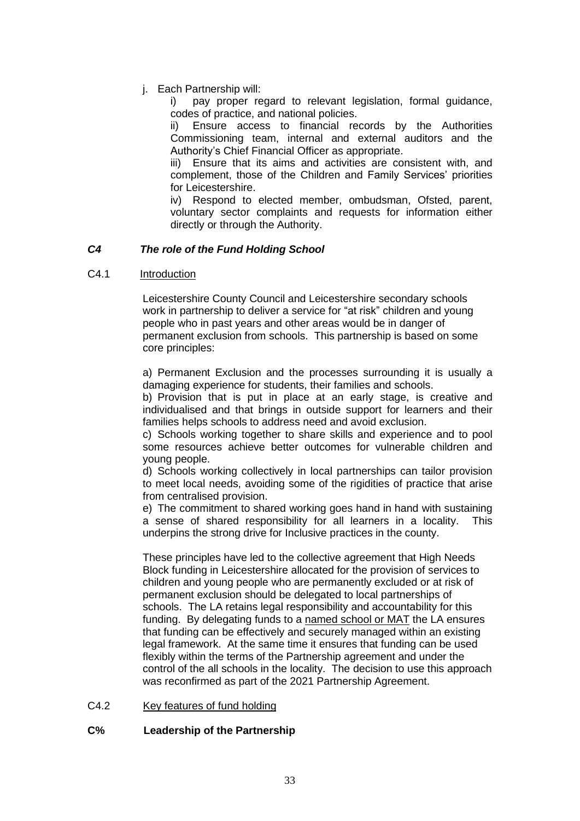j. Each Partnership will:

i) pay proper regard to relevant legislation, formal guidance, codes of practice, and national policies.

ii) Ensure access to financial records by the Authorities Commissioning team, internal and external auditors and the Authority's Chief Financial Officer as appropriate.

iii) Ensure that its aims and activities are consistent with, and complement, those of the Children and Family Services' priorities for Leicestershire.

iv) Respond to elected member, ombudsman, Ofsted, parent, voluntary sector complaints and requests for information either directly or through the Authority.

## *C4 The role of the Fund Holding School*

## C4.1 Introduction

Leicestershire County Council and Leicestershire secondary schools work in partnership to deliver a service for "at risk" children and young people who in past years and other areas would be in danger of permanent exclusion from schools. This partnership is based on some core principles:

a) Permanent Exclusion and the processes surrounding it is usually a damaging experience for students, their families and schools.

b) Provision that is put in place at an early stage, is creative and individualised and that brings in outside support for learners and their families helps schools to address need and avoid exclusion.

c) Schools working together to share skills and experience and to pool some resources achieve better outcomes for vulnerable children and young people.

d) Schools working collectively in local partnerships can tailor provision to meet local needs, avoiding some of the rigidities of practice that arise from centralised provision.

e) The commitment to shared working goes hand in hand with sustaining a sense of shared responsibility for all learners in a locality. This underpins the strong drive for Inclusive practices in the county.

These principles have led to the collective agreement that High Needs Block funding in Leicestershire allocated for the provision of services to children and young people who are permanently excluded or at risk of permanent exclusion should be delegated to local partnerships of schools. The LA retains legal responsibility and accountability for this funding. By delegating funds to a named school or MAT the LA ensures that funding can be effectively and securely managed within an existing legal framework. At the same time it ensures that funding can be used flexibly within the terms of the Partnership agreement and under the control of the all schools in the locality. The decision to use this approach was reconfirmed as part of the 2021 Partnership Agreement.

## C4.2 Key features of fund holding

## **C% Leadership of the Partnership**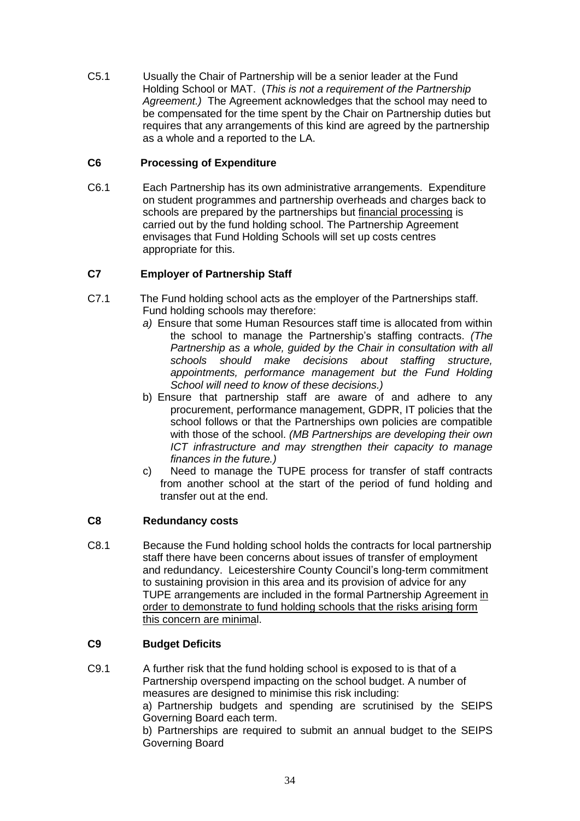C5.1 Usually the Chair of Partnership will be a senior leader at the Fund Holding School or MAT. (*This is not a requirement of the Partnership Agreement.)* The Agreement acknowledges that the school may need to be compensated for the time spent by the Chair on Partnership duties but requires that any arrangements of this kind are agreed by the partnership as a whole and a reported to the LA.

## **C6 Processing of Expenditure**

C6.1 Each Partnership has its own administrative arrangements. Expenditure on student programmes and partnership overheads and charges back to schools are prepared by the partnerships but financial processing is carried out by the fund holding school. The Partnership Agreement envisages that Fund Holding Schools will set up costs centres appropriate for this.

## **C7 Employer of Partnership Staff**

- C7.1 The Fund holding school acts as the employer of the Partnerships staff. Fund holding schools may therefore:
	- *a)* Ensure that some Human Resources staff time is allocated from within the school to manage the Partnership's staffing contracts. *(The Partnership as a whole, guided by the Chair in consultation with all schools should make decisions about staffing structure, appointments, performance management but the Fund Holding School will need to know of these decisions.)*
	- b) Ensure that partnership staff are aware of and adhere to any procurement, performance management, GDPR, IT policies that the school follows or that the Partnerships own policies are compatible with those of the school. *(MB Partnerships are developing their own ICT infrastructure and may strengthen their capacity to manage finances in the future.)*
	- c) Need to manage the TUPE process for transfer of staff contracts from another school at the start of the period of fund holding and transfer out at the end.

## **C8 Redundancy costs**

C8.1 Because the Fund holding school holds the contracts for local partnership staff there have been concerns about issues of transfer of employment and redundancy. Leicestershire County Council's long-term commitment to sustaining provision in this area and its provision of advice for any TUPE arrangements are included in the formal Partnership Agreement in order to demonstrate to fund holding schools that the risks arising form this concern are minimal.

## **C9 Budget Deficits**

C9.1 A further risk that the fund holding school is exposed to is that of a Partnership overspend impacting on the school budget. A number of measures are designed to minimise this risk including: a) Partnership budgets and spending are scrutinised by the SEIPS

Governing Board each term.

b) Partnerships are required to submit an annual budget to the SEIPS Governing Board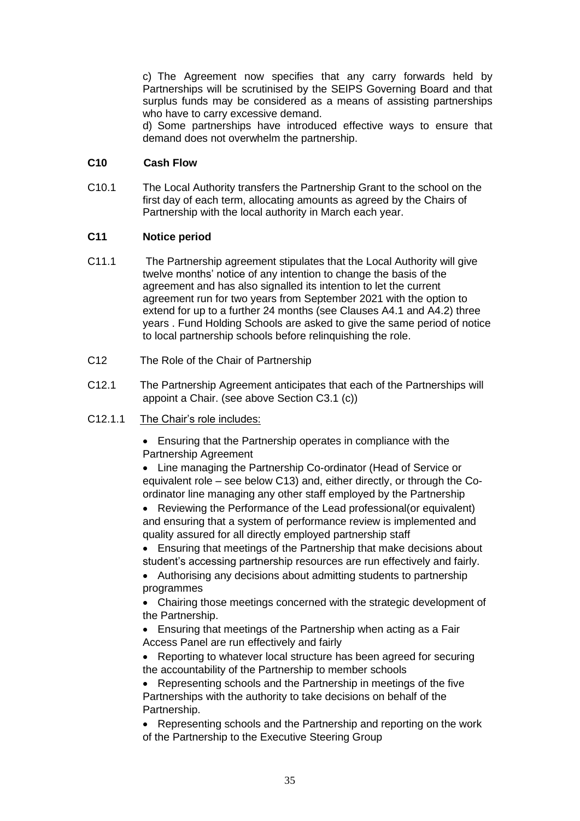c) The Agreement now specifies that any carry forwards held by Partnerships will be scrutinised by the SEIPS Governing Board and that surplus funds may be considered as a means of assisting partnerships who have to carry excessive demand.

d) Some partnerships have introduced effective ways to ensure that demand does not overwhelm the partnership.

## **C10 Cash Flow**

C10.1 The Local Authority transfers the Partnership Grant to the school on the first day of each term, allocating amounts as agreed by the Chairs of Partnership with the local authority in March each year.

## **C11 Notice period**

- C11.1 The Partnership agreement stipulates that the Local Authority will give twelve months' notice of any intention to change the basis of the agreement and has also signalled its intention to let the current agreement run for two years from September 2021 with the option to extend for up to a further 24 months (see Clauses A4.1 and A4.2) three years . Fund Holding Schools are asked to give the same period of notice to local partnership schools before relinquishing the role.
- C12 The Role of the Chair of Partnership
- C12.1 The Partnership Agreement anticipates that each of the Partnerships will appoint a Chair. (see above Section C3.1 (c))

## C12.1.1 The Chair's role includes:

• Ensuring that the Partnership operates in compliance with the Partnership Agreement

• Line managing the Partnership Co-ordinator (Head of Service or equivalent role – see below C13) and, either directly, or through the Coordinator line managing any other staff employed by the Partnership

• Reviewing the Performance of the Lead professional(or equivalent) and ensuring that a system of performance review is implemented and quality assured for all directly employed partnership staff

• Ensuring that meetings of the Partnership that make decisions about student's accessing partnership resources are run effectively and fairly.

• Authorising any decisions about admitting students to partnership programmes

• Chairing those meetings concerned with the strategic development of the Partnership.

• Ensuring that meetings of the Partnership when acting as a Fair Access Panel are run effectively and fairly

• Reporting to whatever local structure has been agreed for securing the accountability of the Partnership to member schools

• Representing schools and the Partnership in meetings of the five Partnerships with the authority to take decisions on behalf of the Partnership.

• Representing schools and the Partnership and reporting on the work of the Partnership to the Executive Steering Group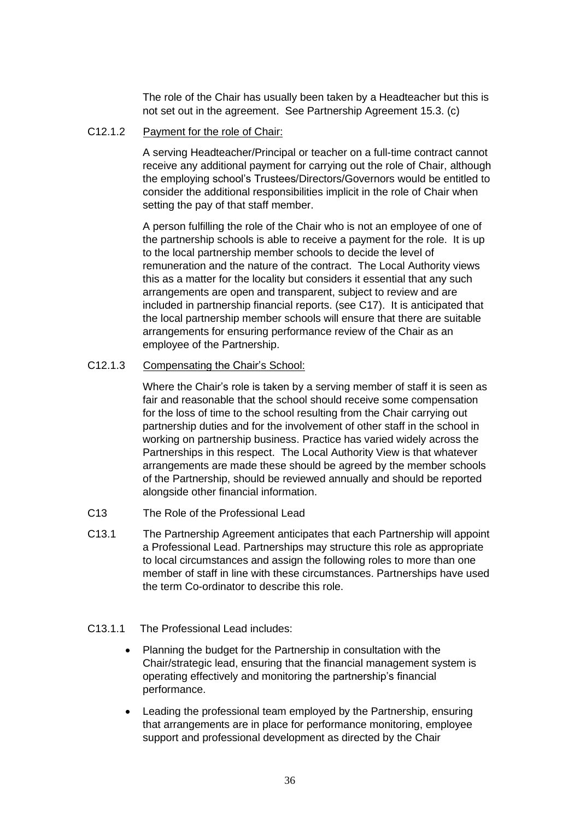The role of the Chair has usually been taken by a Headteacher but this is not set out in the agreement. See Partnership Agreement 15.3. (c)

## C12.1.2 Payment for the role of Chair:

A serving Headteacher/Principal or teacher on a full-time contract cannot receive any additional payment for carrying out the role of Chair, although the employing school's Trustees/Directors/Governors would be entitled to consider the additional responsibilities implicit in the role of Chair when setting the pay of that staff member.

A person fulfilling the role of the Chair who is not an employee of one of the partnership schools is able to receive a payment for the role. It is up to the local partnership member schools to decide the level of remuneration and the nature of the contract. The Local Authority views this as a matter for the locality but considers it essential that any such arrangements are open and transparent, subject to review and are included in partnership financial reports. (see C17). It is anticipated that the local partnership member schools will ensure that there are suitable arrangements for ensuring performance review of the Chair as an employee of the Partnership.

## C12.1.3 Compensating the Chair's School:

Where the Chair's role is taken by a serving member of staff it is seen as fair and reasonable that the school should receive some compensation for the loss of time to the school resulting from the Chair carrying out partnership duties and for the involvement of other staff in the school in working on partnership business. Practice has varied widely across the Partnerships in this respect. The Local Authority View is that whatever arrangements are made these should be agreed by the member schools of the Partnership, should be reviewed annually and should be reported alongside other financial information.

- C13 The Role of the Professional Lead
- C13.1 The Partnership Agreement anticipates that each Partnership will appoint a Professional Lead. Partnerships may structure this role as appropriate to local circumstances and assign the following roles to more than one member of staff in line with these circumstances. Partnerships have used the term Co-ordinator to describe this role.

## C13.1.1 The Professional Lead includes:

- Planning the budget for the Partnership in consultation with the Chair/strategic lead, ensuring that the financial management system is operating effectively and monitoring the partnership's financial performance.
- Leading the professional team employed by the Partnership, ensuring that arrangements are in place for performance monitoring, employee support and professional development as directed by the Chair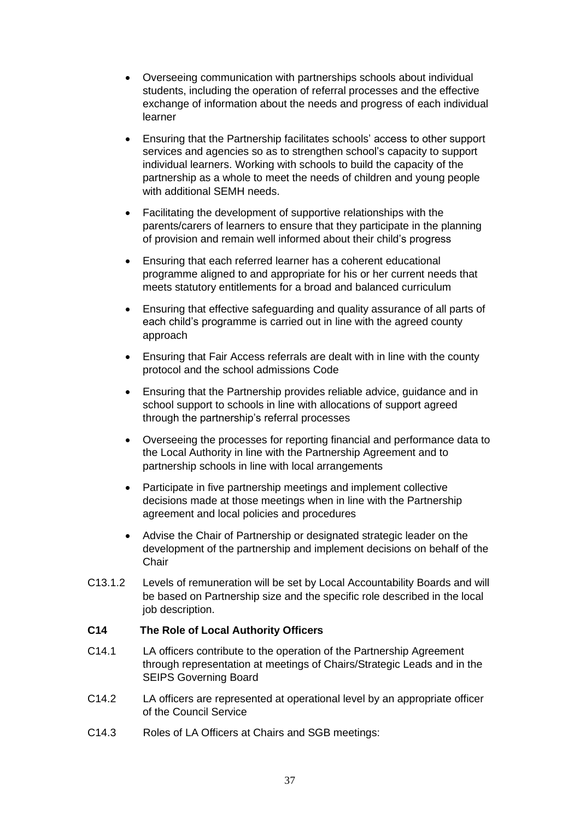- Overseeing communication with partnerships schools about individual students, including the operation of referral processes and the effective exchange of information about the needs and progress of each individual learner
- Ensuring that the Partnership facilitates schools' access to other support services and agencies so as to strengthen school's capacity to support individual learners. Working with schools to build the capacity of the partnership as a whole to meet the needs of children and young people with additional SEMH needs.
- Facilitating the development of supportive relationships with the parents/carers of learners to ensure that they participate in the planning of provision and remain well informed about their child's progress
- Ensuring that each referred learner has a coherent educational programme aligned to and appropriate for his or her current needs that meets statutory entitlements for a broad and balanced curriculum
- Ensuring that effective safeguarding and quality assurance of all parts of each child's programme is carried out in line with the agreed county approach
- Ensuring that Fair Access referrals are dealt with in line with the county protocol and the school admissions Code
- Ensuring that the Partnership provides reliable advice, guidance and in school support to schools in line with allocations of support agreed through the partnership's referral processes
- Overseeing the processes for reporting financial and performance data to the Local Authority in line with the Partnership Agreement and to partnership schools in line with local arrangements
- Participate in five partnership meetings and implement collective decisions made at those meetings when in line with the Partnership agreement and local policies and procedures
- Advise the Chair of Partnership or designated strategic leader on the development of the partnership and implement decisions on behalf of the **Chair**
- C13.1.2 Levels of remuneration will be set by Local Accountability Boards and will be based on Partnership size and the specific role described in the local job description.

## **C14 The Role of Local Authority Officers**

- C14.1 LA officers contribute to the operation of the Partnership Agreement through representation at meetings of Chairs/Strategic Leads and in the SEIPS Governing Board
- C14.2 LA officers are represented at operational level by an appropriate officer of the Council Service
- C14.3 Roles of LA Officers at Chairs and SGB meetings: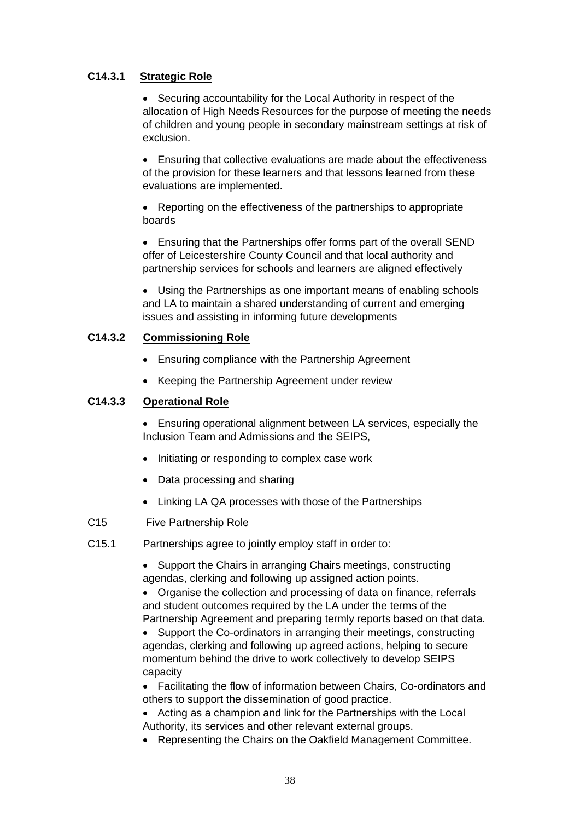## **C14.3.1 Strategic Role**

• Securing accountability for the Local Authority in respect of the allocation of High Needs Resources for the purpose of meeting the needs of children and young people in secondary mainstream settings at risk of exclusion.

• Ensuring that collective evaluations are made about the effectiveness of the provision for these learners and that lessons learned from these evaluations are implemented.

• Reporting on the effectiveness of the partnerships to appropriate boards

• Ensuring that the Partnerships offer forms part of the overall SEND offer of Leicestershire County Council and that local authority and partnership services for schools and learners are aligned effectively

• Using the Partnerships as one important means of enabling schools and LA to maintain a shared understanding of current and emerging issues and assisting in informing future developments

## **C14.3.2 Commissioning Role**

- Ensuring compliance with the Partnership Agreement
- Keeping the Partnership Agreement under review

## **C14.3.3 Operational Role**

• Ensuring operational alignment between LA services, especially the Inclusion Team and Admissions and the SEIPS,

- Initiating or responding to complex case work
- Data processing and sharing
- Linking LA QA processes with those of the Partnerships
- C15 Five Partnership Role
- C15.1 Partnerships agree to jointly employ staff in order to:

• Support the Chairs in arranging Chairs meetings, constructing agendas, clerking and following up assigned action points.

• Organise the collection and processing of data on finance, referrals and student outcomes required by the LA under the terms of the Partnership Agreement and preparing termly reports based on that data.

• Support the Co-ordinators in arranging their meetings, constructing agendas, clerking and following up agreed actions, helping to secure momentum behind the drive to work collectively to develop SEIPS capacity

• Facilitating the flow of information between Chairs, Co-ordinators and others to support the dissemination of good practice.

• Acting as a champion and link for the Partnerships with the Local Authority, its services and other relevant external groups.

• Representing the Chairs on the Oakfield Management Committee.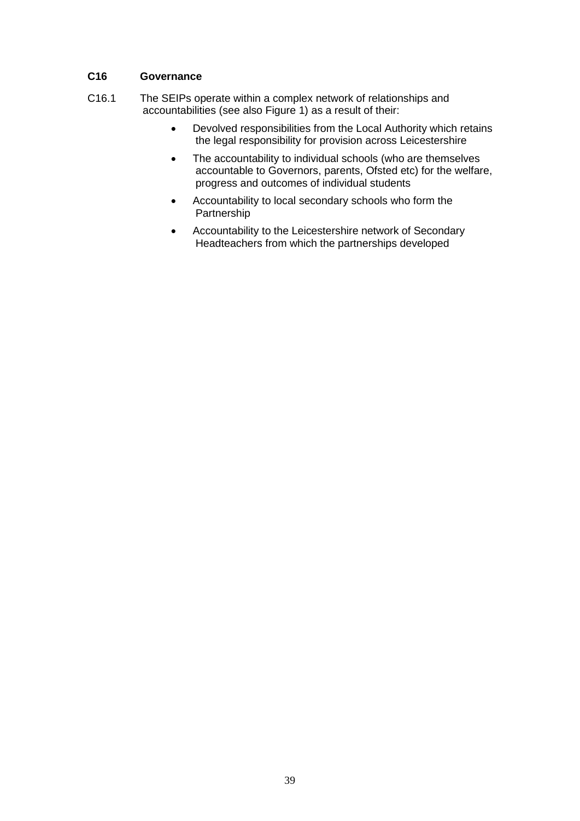## **C16 Governance**

- C16.1 The SEIPs operate within a complex network of relationships and accountabilities (see also Figure 1) as a result of their:
	- Devolved responsibilities from the Local Authority which retains the legal responsibility for provision across Leicestershire
	- The accountability to individual schools (who are themselves accountable to Governors, parents, Ofsted etc) for the welfare, progress and outcomes of individual students
	- Accountability to local secondary schools who form the Partnership
	- Accountability to the Leicestershire network of Secondary Headteachers from which the partnerships developed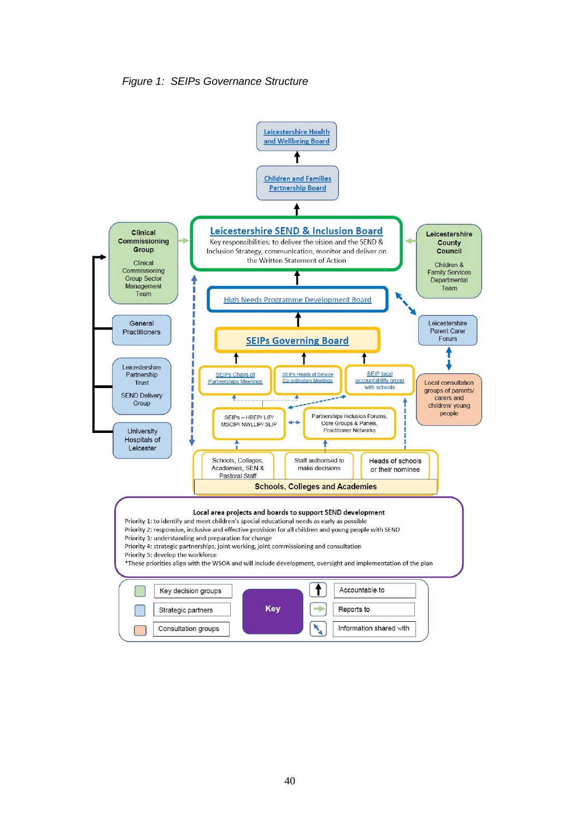

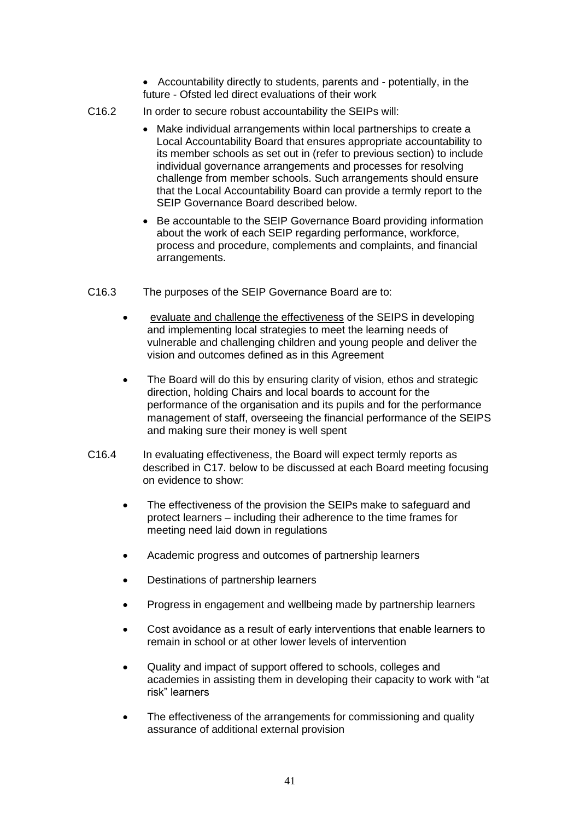• Accountability directly to students, parents and - potentially, in the future - Ofsted led direct evaluations of their work

- C16.2 In order to secure robust accountability the SEIPs will:
	- Make individual arrangements within local partnerships to create a Local Accountability Board that ensures appropriate accountability to its member schools as set out in (refer to previous section) to include individual governance arrangements and processes for resolving challenge from member schools. Such arrangements should ensure that the Local Accountability Board can provide a termly report to the SEIP Governance Board described below.
	- Be accountable to the SEIP Governance Board providing information about the work of each SEIP regarding performance, workforce, process and procedure, complements and complaints, and financial arrangements.
- C16.3 The purposes of the SEIP Governance Board are to:
	- evaluate and challenge the effectiveness of the SEIPS in developing and implementing local strategies to meet the learning needs of vulnerable and challenging children and young people and deliver the vision and outcomes defined as in this Agreement
	- The Board will do this by ensuring clarity of vision, ethos and strategic direction, holding Chairs and local boards to account for the performance of the organisation and its pupils and for the performance management of staff, overseeing the financial performance of the SEIPS and making sure their money is well spent
- C16.4 In evaluating effectiveness, the Board will expect termly reports as described in C17. below to be discussed at each Board meeting focusing on evidence to show:
	- The effectiveness of the provision the SEIPs make to safeguard and protect learners – including their adherence to the time frames for meeting need laid down in regulations
	- Academic progress and outcomes of partnership learners
	- Destinations of partnership learners
	- Progress in engagement and wellbeing made by partnership learners
	- Cost avoidance as a result of early interventions that enable learners to remain in school or at other lower levels of intervention
	- Quality and impact of support offered to schools, colleges and academies in assisting them in developing their capacity to work with "at risk" learners
	- The effectiveness of the arrangements for commissioning and quality assurance of additional external provision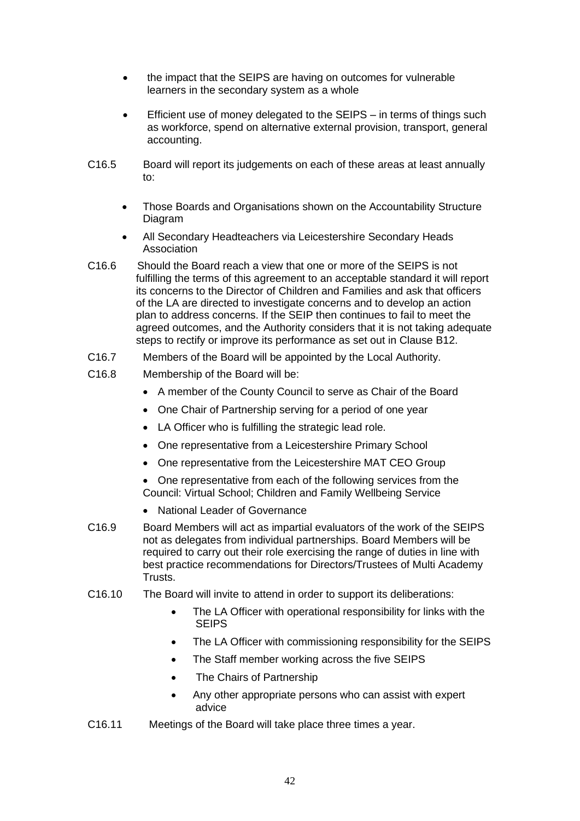- the impact that the SEIPS are having on outcomes for vulnerable learners in the secondary system as a whole
- Efficient use of money delegated to the SEIPS in terms of things such as workforce, spend on alternative external provision, transport, general accounting.
- C16.5 Board will report its judgements on each of these areas at least annually to:
	- Those Boards and Organisations shown on the Accountability Structure Diagram
	- All Secondary Headteachers via Leicestershire Secondary Heads Association
- C16.6 Should the Board reach a view that one or more of the SEIPS is not fulfilling the terms of this agreement to an acceptable standard it will report its concerns to the Director of Children and Families and ask that officers of the LA are directed to investigate concerns and to develop an action plan to address concerns. If the SEIP then continues to fail to meet the agreed outcomes, and the Authority considers that it is not taking adequate steps to rectify or improve its performance as set out in Clause B12.
- C16.7 Members of the Board will be appointed by the Local Authority.
- C16.8 Membership of the Board will be:
	- A member of the County Council to serve as Chair of the Board
	- One Chair of Partnership serving for a period of one year
	- LA Officer who is fulfilling the strategic lead role.
	- One representative from a Leicestershire Primary School
	- One representative from the Leicestershire MAT CEO Group

• One representative from each of the following services from the Council: Virtual School; Children and Family Wellbeing Service

- National Leader of Governance
- C16.9 Board Members will act as impartial evaluators of the work of the SEIPS not as delegates from individual partnerships. Board Members will be required to carry out their role exercising the range of duties in line with best practice recommendations for Directors/Trustees of Multi Academy Trusts.
- C16.10 The Board will invite to attend in order to support its deliberations:
	- The LA Officer with operational responsibility for links with the SEIPS
	- The LA Officer with commissioning responsibility for the SEIPS
	- The Staff member working across the five SEIPS
	- The Chairs of Partnership
	- Any other appropriate persons who can assist with expert advice
- C16.11 Meetings of the Board will take place three times a year.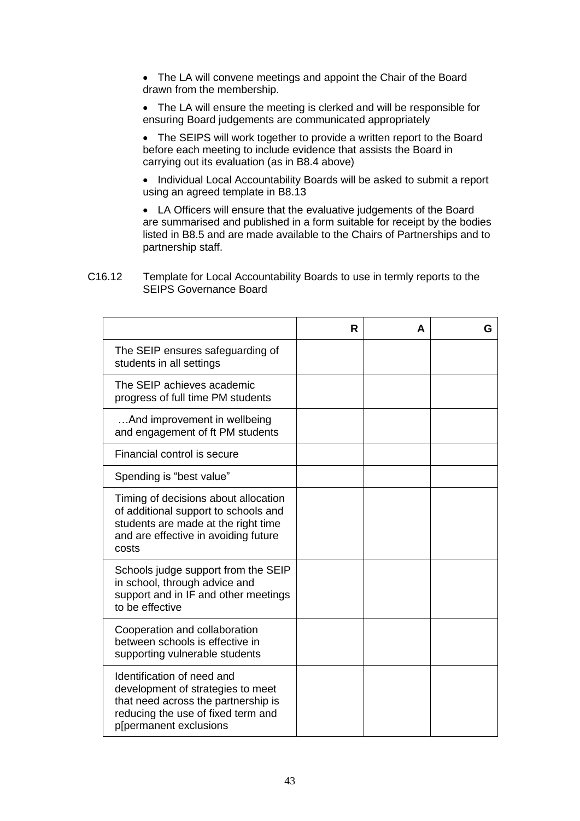• The LA will convene meetings and appoint the Chair of the Board drawn from the membership.

• The LA will ensure the meeting is clerked and will be responsible for ensuring Board judgements are communicated appropriately

• The SEIPS will work together to provide a written report to the Board before each meeting to include evidence that assists the Board in carrying out its evaluation (as in B8.4 above)

• Individual Local Accountability Boards will be asked to submit a report using an agreed template in B8.13

• LA Officers will ensure that the evaluative judgements of the Board are summarised and published in a form suitable for receipt by the bodies listed in B8.5 and are made available to the Chairs of Partnerships and to partnership staff.

C16.12 Template for Local Accountability Boards to use in termly reports to the SEIPS Governance Board

|                                                                                                                                                                        | R | A | G |
|------------------------------------------------------------------------------------------------------------------------------------------------------------------------|---|---|---|
| The SEIP ensures safeguarding of<br>students in all settings                                                                                                           |   |   |   |
| The SEIP achieves academic<br>progress of full time PM students                                                                                                        |   |   |   |
| And improvement in wellbeing<br>and engagement of ft PM students                                                                                                       |   |   |   |
| Financial control is secure                                                                                                                                            |   |   |   |
| Spending is "best value"                                                                                                                                               |   |   |   |
| Timing of decisions about allocation<br>of additional support to schools and<br>students are made at the right time<br>and are effective in avoiding future<br>costs   |   |   |   |
| Schools judge support from the SEIP<br>in school, through advice and<br>support and in IF and other meetings<br>to be effective                                        |   |   |   |
| Cooperation and collaboration<br>between schools is effective in<br>supporting vulnerable students                                                                     |   |   |   |
| Identification of need and<br>development of strategies to meet<br>that need across the partnership is<br>reducing the use of fixed term and<br>p[permanent exclusions |   |   |   |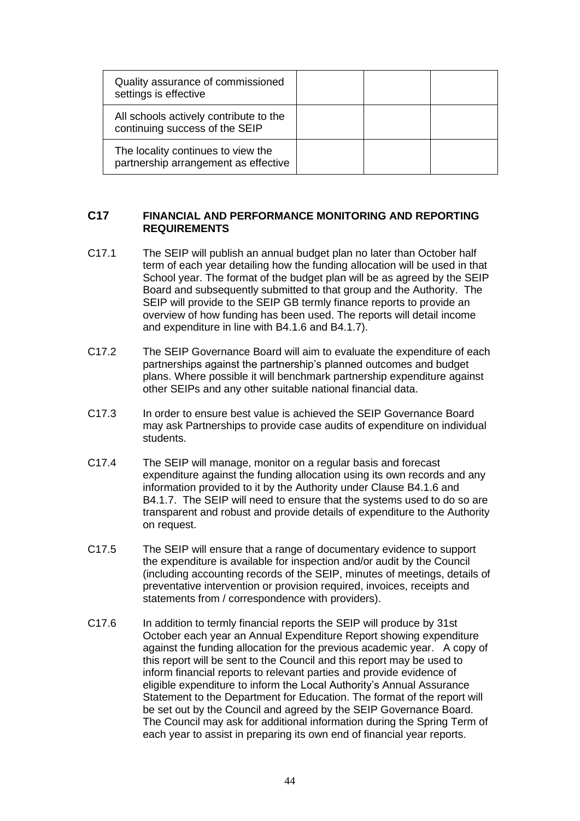| Quality assurance of commissioned<br>settings is effective                 |  |  |
|----------------------------------------------------------------------------|--|--|
| All schools actively contribute to the<br>continuing success of the SEIP   |  |  |
| The locality continues to view the<br>partnership arrangement as effective |  |  |

## **C17 FINANCIAL AND PERFORMANCE MONITORING AND REPORTING REQUIREMENTS**

- C17.1 The SEIP will publish an annual budget plan no later than October half term of each year detailing how the funding allocation will be used in that School year. The format of the budget plan will be as agreed by the SEIP Board and subsequently submitted to that group and the Authority. The SEIP will provide to the SEIP GB termly finance reports to provide an overview of how funding has been used. The reports will detail income and expenditure in line with B4.1.6 and B4.1.7).
- C17.2 The SEIP Governance Board will aim to evaluate the expenditure of each partnerships against the partnership's planned outcomes and budget plans. Where possible it will benchmark partnership expenditure against other SEIPs and any other suitable national financial data.
- C17.3 In order to ensure best value is achieved the SEIP Governance Board may ask Partnerships to provide case audits of expenditure on individual students.
- C17.4 The SEIP will manage, monitor on a regular basis and forecast expenditure against the funding allocation using its own records and any information provided to it by the Authority under Clause B4.1.6 and B4.1.7. The SEIP will need to ensure that the systems used to do so are transparent and robust and provide details of expenditure to the Authority on request.
- C17.5 The SEIP will ensure that a range of documentary evidence to support the expenditure is available for inspection and/or audit by the Council (including accounting records of the SEIP, minutes of meetings, details of preventative intervention or provision required, invoices, receipts and statements from / correspondence with providers).
- C17.6 In addition to termly financial reports the SEIP will produce by 31st October each year an Annual Expenditure Report showing expenditure against the funding allocation for the previous academic year. A copy of this report will be sent to the Council and this report may be used to inform financial reports to relevant parties and provide evidence of eligible expenditure to inform the Local Authority's Annual Assurance Statement to the Department for Education. The format of the report will be set out by the Council and agreed by the SEIP Governance Board. The Council may ask for additional information during the Spring Term of each year to assist in preparing its own end of financial year reports.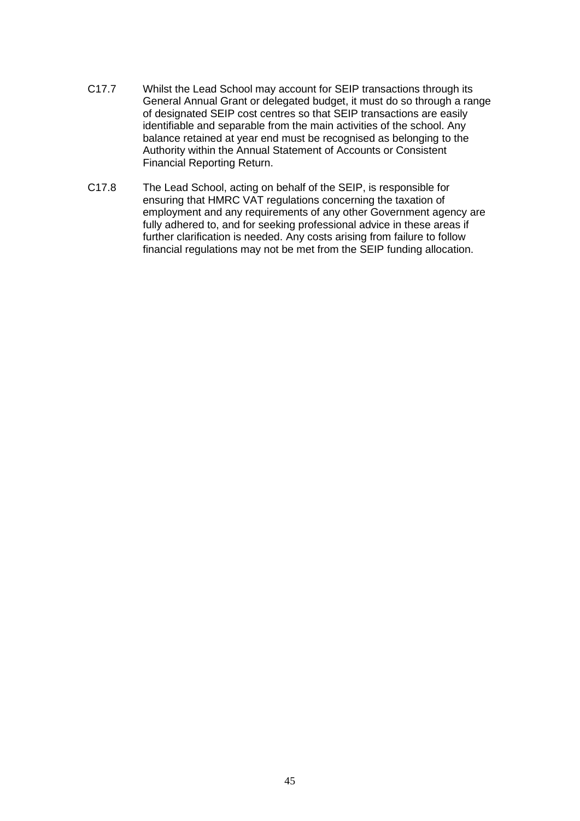- C17.7 Whilst the Lead School may account for SEIP transactions through its General Annual Grant or delegated budget, it must do so through a range of designated SEIP cost centres so that SEIP transactions are easily identifiable and separable from the main activities of the school. Any balance retained at year end must be recognised as belonging to the Authority within the Annual Statement of Accounts or Consistent Financial Reporting Return.
- C17.8 The Lead School, acting on behalf of the SEIP, is responsible for ensuring that HMRC VAT regulations concerning the taxation of employment and any requirements of any other Government agency are fully adhered to, and for seeking professional advice in these areas if further clarification is needed. Any costs arising from failure to follow financial regulations may not be met from the SEIP funding allocation.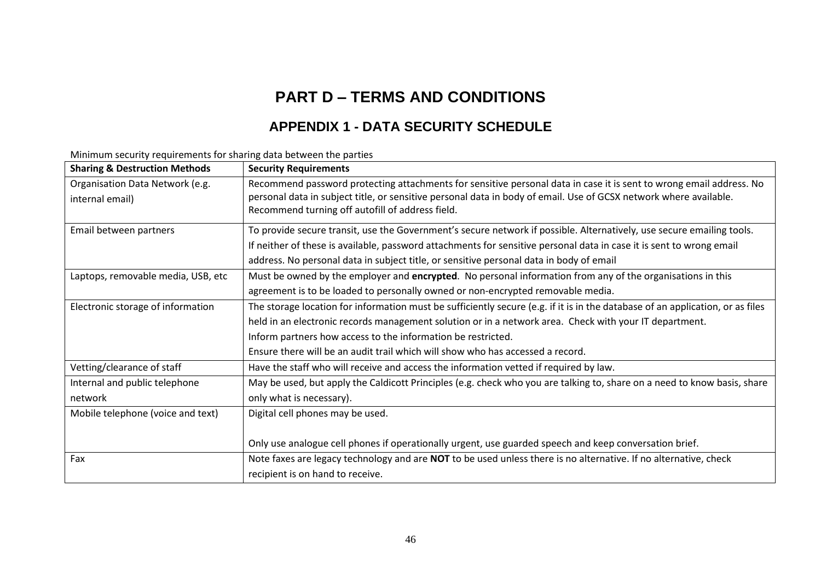# **PART D – TERMS AND CONDITIONS**

## **APPENDIX 1 - DATA SECURITY SCHEDULE**

| <b>Sharing &amp; Destruction Methods</b> | <b>Security Requirements</b>                                                                                                   |
|------------------------------------------|--------------------------------------------------------------------------------------------------------------------------------|
| Organisation Data Network (e.g.          | Recommend password protecting attachments for sensitive personal data in case it is sent to wrong email address. No            |
| internal email)                          | personal data in subject title, or sensitive personal data in body of email. Use of GCSX network where available.              |
|                                          | Recommend turning off autofill of address field.                                                                               |
| Email between partners                   | To provide secure transit, use the Government's secure network if possible. Alternatively, use secure emailing tools.          |
|                                          | If neither of these is available, password attachments for sensitive personal data in case it is sent to wrong email           |
|                                          | address. No personal data in subject title, or sensitive personal data in body of email                                        |
| Laptops, removable media, USB, etc       | Must be owned by the employer and encrypted. No personal information from any of the organisations in this                     |
|                                          | agreement is to be loaded to personally owned or non-encrypted removable media.                                                |
| Electronic storage of information        | The storage location for information must be sufficiently secure (e.g. if it is in the database of an application, or as files |
|                                          | held in an electronic records management solution or in a network area. Check with your IT department.                         |
|                                          | Inform partners how access to the information be restricted.                                                                   |
|                                          | Ensure there will be an audit trail which will show who has accessed a record.                                                 |
| Vetting/clearance of staff               | Have the staff who will receive and access the information vetted if required by law.                                          |
| Internal and public telephone            | May be used, but apply the Caldicott Principles (e.g. check who you are talking to, share on a need to know basis, share       |
| network                                  | only what is necessary).                                                                                                       |
| Mobile telephone (voice and text)        | Digital cell phones may be used.                                                                                               |
|                                          |                                                                                                                                |
|                                          | Only use analogue cell phones if operationally urgent, use guarded speech and keep conversation brief.                         |
| Fax                                      | Note faxes are legacy technology and are NOT to be used unless there is no alternative. If no alternative, check               |
|                                          | recipient is on hand to receive.                                                                                               |

Minimum security requirements for sharing data between the parties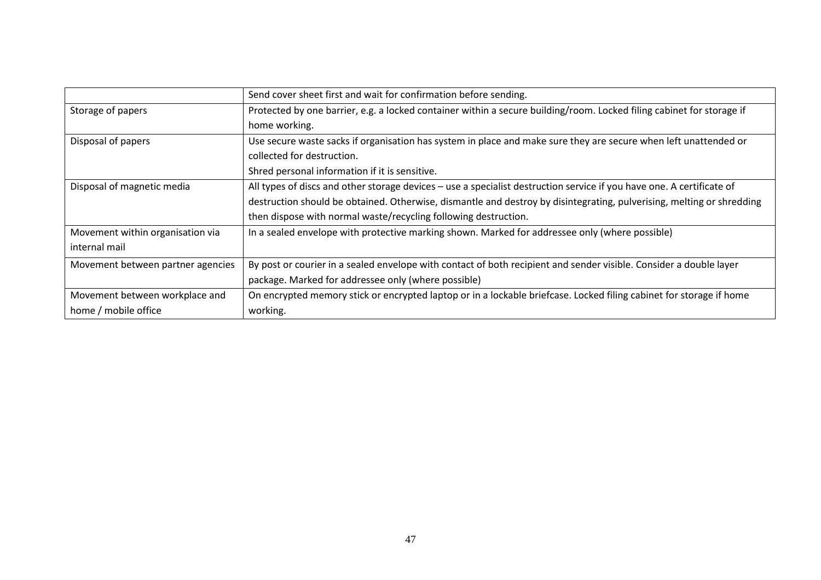|                                   | Send cover sheet first and wait for confirmation before sending.                                                      |
|-----------------------------------|-----------------------------------------------------------------------------------------------------------------------|
| Storage of papers                 | Protected by one barrier, e.g. a locked container within a secure building/room. Locked filing cabinet for storage if |
|                                   | home working.                                                                                                         |
| Disposal of papers                | Use secure waste sacks if organisation has system in place and make sure they are secure when left unattended or      |
|                                   | collected for destruction.                                                                                            |
|                                   | Shred personal information if it is sensitive.                                                                        |
| Disposal of magnetic media        | All types of discs and other storage devices - use a specialist destruction service if you have one. A certificate of |
|                                   | destruction should be obtained. Otherwise, dismantle and destroy by disintegrating, pulverising, melting or shredding |
|                                   | then dispose with normal waste/recycling following destruction.                                                       |
| Movement within organisation via  | In a sealed envelope with protective marking shown. Marked for addressee only (where possible)                        |
| internal mail                     |                                                                                                                       |
| Movement between partner agencies | By post or courier in a sealed envelope with contact of both recipient and sender visible. Consider a double layer    |
|                                   | package. Marked for addressee only (where possible)                                                                   |
| Movement between workplace and    | On encrypted memory stick or encrypted laptop or in a lockable briefcase. Locked filing cabinet for storage if home   |
| home / mobile office              | working.                                                                                                              |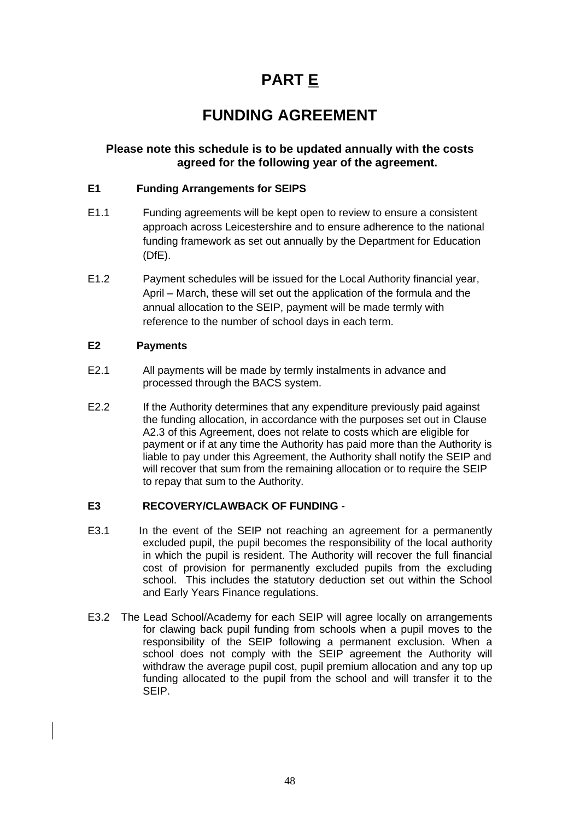# **PART E**

# **FUNDING AGREEMENT**

## **Please note this schedule is to be updated annually with the costs agreed for the following year of the agreement.**

## **E1 Funding Arrangements for SEIPS**

- E1.1 Funding agreements will be kept open to review to ensure a consistent approach across Leicestershire and to ensure adherence to the national funding framework as set out annually by the Department for Education (DfE).
- E1.2 Payment schedules will be issued for the Local Authority financial year, April – March, these will set out the application of the formula and the annual allocation to the SEIP, payment will be made termly with reference to the number of school days in each term.

## **E2 Payments**

- E2.1 All payments will be made by termly instalments in advance and processed through the BACS system.
- E2.2 If the Authority determines that any expenditure previously paid against the funding allocation, in accordance with the purposes set out in Clause A2.3 of this Agreement, does not relate to costs which are eligible for payment or if at any time the Authority has paid more than the Authority is liable to pay under this Agreement, the Authority shall notify the SEIP and will recover that sum from the remaining allocation or to require the SEIP to repay that sum to the Authority.

## **E3 RECOVERY/CLAWBACK OF FUNDING** -

- E3.1 In the event of the SEIP not reaching an agreement for a permanently excluded pupil, the pupil becomes the responsibility of the local authority in which the pupil is resident. The Authority will recover the full financial cost of provision for permanently excluded pupils from the excluding school. This includes the statutory deduction set out within the School and Early Years Finance regulations.
- E3.2 The Lead School/Academy for each SEIP will agree locally on arrangements for clawing back pupil funding from schools when a pupil moves to the responsibility of the SEIP following a permanent exclusion. When a school does not comply with the SEIP agreement the Authority will withdraw the average pupil cost, pupil premium allocation and any top up funding allocated to the pupil from the school and will transfer it to the SEIP.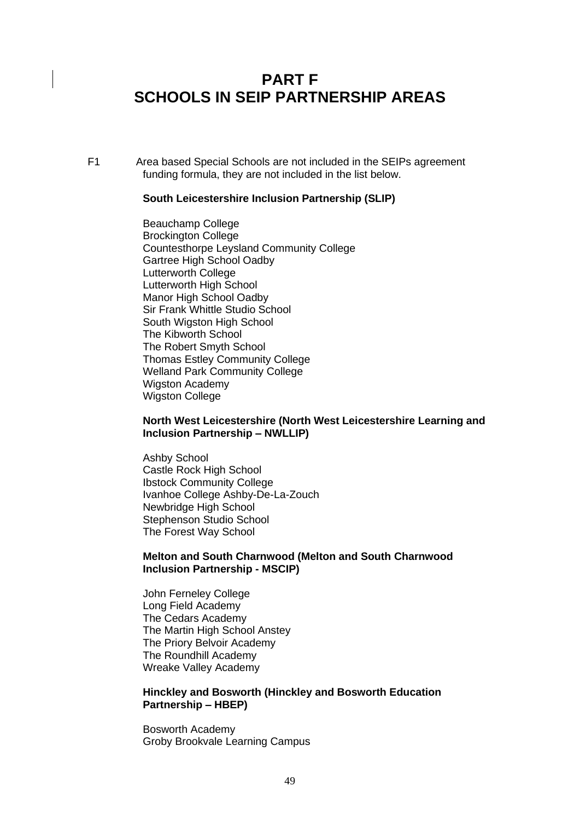## **PART F SCHOOLS IN SEIP PARTNERSHIP AREAS**

F1 Area based Special Schools are not included in the SEIPs agreement funding formula, they are not included in the list below.

#### **South Leicestershire Inclusion Partnership (SLIP)**

Beauchamp College Brockington College Countesthorpe Leysland Community College Gartree High School Oadby Lutterworth College Lutterworth High School Manor High School Oadby Sir Frank Whittle Studio School South Wigston High School The Kibworth School The Robert Smyth School Thomas Estley Community College Welland Park Community College Wigston Academy Wigston College

## **North West Leicestershire (North West Leicestershire Learning and Inclusion Partnership – NWLLIP)**

Ashby School Castle Rock High School Ibstock Community College Ivanhoe College Ashby-De-La-Zouch Newbridge High School Stephenson Studio School The Forest Way School

#### **Melton and South Charnwood (Melton and South Charnwood Inclusion Partnership - MSCIP)**

John Ferneley College Long Field Academy The Cedars Academy The Martin High School Anstey The Priory Belvoir Academy The Roundhill Academy Wreake Valley Academy

#### **Hinckley and Bosworth (Hinckley and Bosworth Education Partnership – HBEP)**

Bosworth Academy Groby Brookvale Learning Campus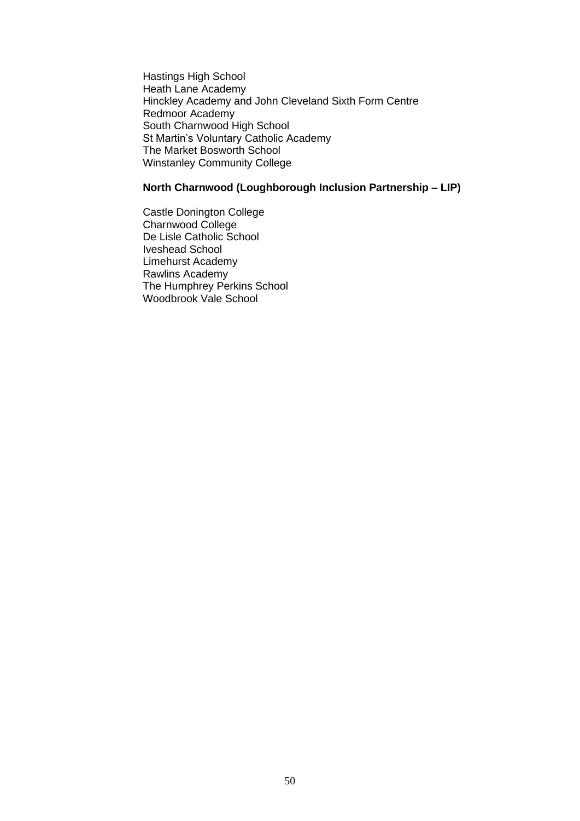Hastings High School Heath Lane Academy Hinckley Academy and John Cleveland Sixth Form Centre Redmoor Academy South Charnwood High School St Martin's Voluntary Catholic Academy The Market Bosworth School Winstanley Community College

## **North Charnwood (Loughborough Inclusion Partnership – LIP)**

Castle Donington College Charnwood College De Lisle Catholic School Iveshead School Limehurst Academy Rawlins Academy The Humphrey Perkins School Woodbrook Vale School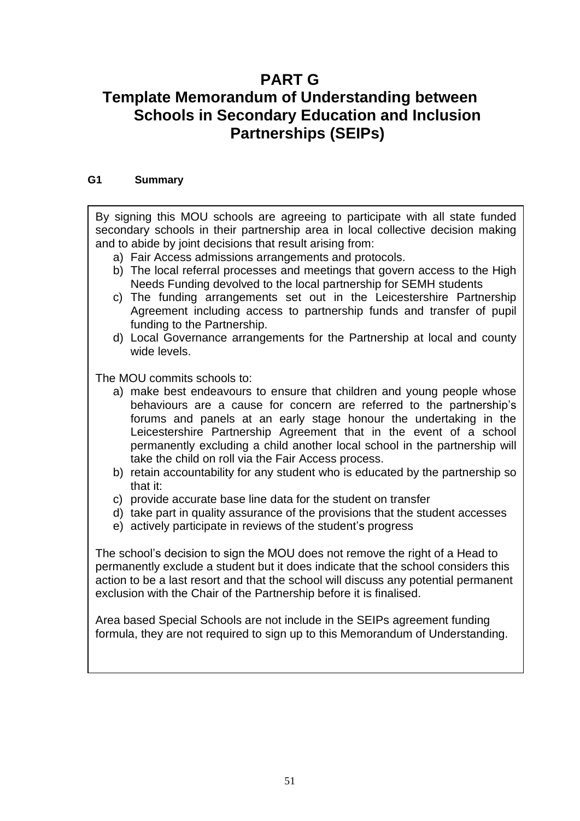## **PART G Template Memorandum of Understanding between Schools in Secondary Education and Inclusion Partnerships (SEIPs)**

## **G1 Summary**

By signing this MOU schools are agreeing to participate with all state funded secondary schools in their partnership area in local collective decision making and to abide by joint decisions that result arising from:

- a) Fair Access admissions arrangements and protocols.
- b) The local referral processes and meetings that govern access to the High Needs Funding devolved to the local partnership for SEMH students
- c) The funding arrangements set out in the Leicestershire Partnership Agreement including access to partnership funds and transfer of pupil funding to the Partnership.
- d) Local Governance arrangements for the Partnership at local and county wide levels.

The MOU commits schools to:

- a) make best endeavours to ensure that children and young people whose behaviours are a cause for concern are referred to the partnership's forums and panels at an early stage honour the undertaking in the Leicestershire Partnership Agreement that in the event of a school permanently excluding a child another local school in the partnership will take the child on roll via the Fair Access process.
- b) retain accountability for any student who is educated by the partnership so that it:
- c) provide accurate base line data for the student on transfer
- d) take part in quality assurance of the provisions that the student accesses
- e) actively participate in reviews of the student's progress

The school's decision to sign the MOU does not remove the right of a Head to permanently exclude a student but it does indicate that the school considers this action to be a last resort and that the school will discuss any potential permanent exclusion with the Chair of the Partnership before it is finalised.

Area based Special Schools are not include in the SEIPs agreement funding formula, they are not required to sign up to this Memorandum of Understanding.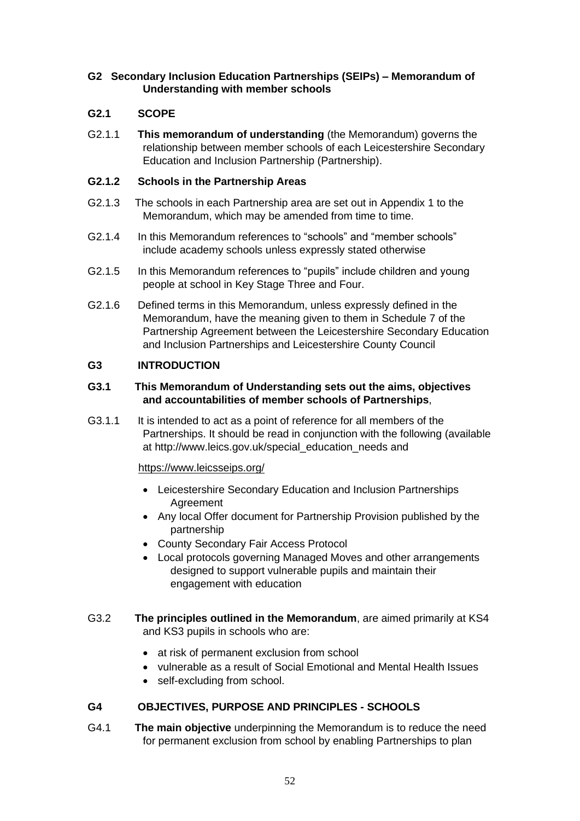## **G2 Secondary Inclusion Education Partnerships (SEIPs) – Memorandum of Understanding with member schools**

## **G2.1 SCOPE**

G2.1.1 **This memorandum of understanding** (the Memorandum) governs the relationship between member schools of each Leicestershire Secondary Education and Inclusion Partnership (Partnership).

## **G2.1.2 Schools in the Partnership Areas**

- G2.1.3 The schools in each Partnership area are set out in Appendix 1 to the Memorandum, which may be amended from time to time.
- G2.1.4 In this Memorandum references to "schools" and "member schools" include academy schools unless expressly stated otherwise
- G2.1.5 In this Memorandum references to "pupils" include children and young people at school in Key Stage Three and Four.
- G2.1.6 Defined terms in this Memorandum, unless expressly defined in the Memorandum, have the meaning given to them in Schedule 7 of the Partnership Agreement between the Leicestershire Secondary Education and Inclusion Partnerships and Leicestershire County Council

## **G3 INTRODUCTION**

## **G3.1 This Memorandum of Understanding sets out the aims, objectives and accountabilities of member schools of Partnerships**,

G3.1.1 It is intended to act as a point of reference for all members of the Partnerships. It should be read in conjunction with the following (available at http://www.leics.gov.uk/special\_education\_needs and

## <https://www.leicsseips.org/>

- Leicestershire Secondary Education and Inclusion Partnerships Agreement
- Any local Offer document for Partnership Provision published by the partnership
- County Secondary Fair Access Protocol
- Local protocols governing Managed Moves and other arrangements designed to support vulnerable pupils and maintain their engagement with education
- G3.2 **The principles outlined in the Memorandum**, are aimed primarily at KS4 and KS3 pupils in schools who are:
	- at risk of permanent exclusion from school
	- vulnerable as a result of Social Emotional and Mental Health Issues
	- self-excluding from school.

## **G4 OBJECTIVES, PURPOSE AND PRINCIPLES - SCHOOLS**

G4.1 **The main objective** underpinning the Memorandum is to reduce the need for permanent exclusion from school by enabling Partnerships to plan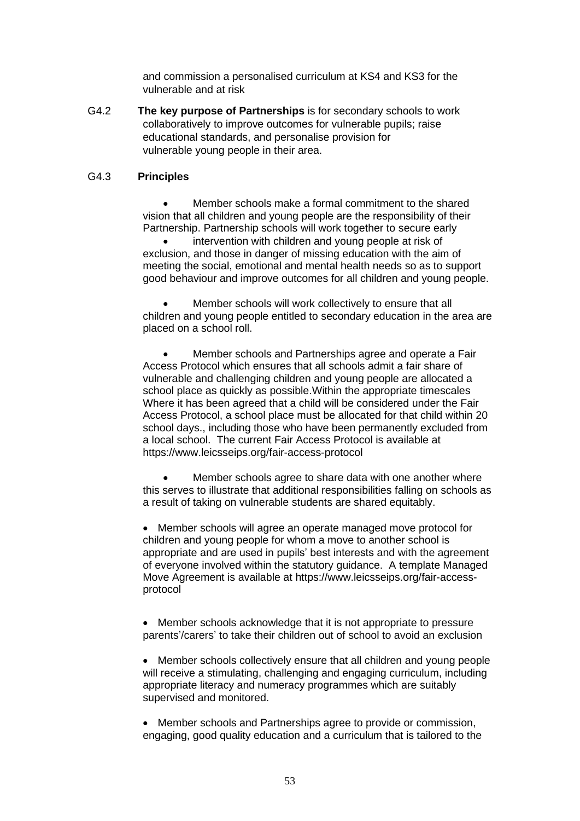and commission a personalised curriculum at KS4 and KS3 for the vulnerable and at risk

G4.2 **The key purpose of Partnerships** is for secondary schools to work collaboratively to improve outcomes for vulnerable pupils; raise educational standards, and personalise provision for vulnerable young people in their area.

#### G4.3 **Principles**

• Member schools make a formal commitment to the shared vision that all children and young people are the responsibility of their Partnership. Partnership schools will work together to secure early

intervention with children and young people at risk of exclusion, and those in danger of missing education with the aim of meeting the social, emotional and mental health needs so as to support good behaviour and improve outcomes for all children and young people.

Member schools will work collectively to ensure that all children and young people entitled to secondary education in the area are placed on a school roll.

• Member schools and Partnerships agree and operate a Fair Access Protocol which ensures that all schools admit a fair share of vulnerable and challenging children and young people are allocated a school place as quickly as possible.Within the appropriate timescales Where it has been agreed that a child will be considered under the Fair Access Protocol, a school place must be allocated for that child within 20 school days., including those who have been permanently excluded from a local school. The current Fair Access Protocol is available at <https://www.leicsseips.org/fair-access-protocol>

Member schools agree to share data with one another where this serves to illustrate that additional responsibilities falling on schools as a result of taking on vulnerable students are shared equitably.

• Member schools will agree an operate managed move protocol for children and young people for whom a move to another school is appropriate and are used in pupils' best interests and with the agreement of everyone involved within the statutory guidance. A template Managed Move Agreement is available at [https://www.leicsseips.org/fair-access](https://www.leicsseips.org/fair-access-protocol)[protocol](https://www.leicsseips.org/fair-access-protocol)

• Member schools acknowledge that it is not appropriate to pressure parents'/carers' to take their children out of school to avoid an exclusion

• Member schools collectively ensure that all children and young people will receive a stimulating, challenging and engaging curriculum, including appropriate literacy and numeracy programmes which are suitably supervised and monitored.

• Member schools and Partnerships agree to provide or commission, engaging, good quality education and a curriculum that is tailored to the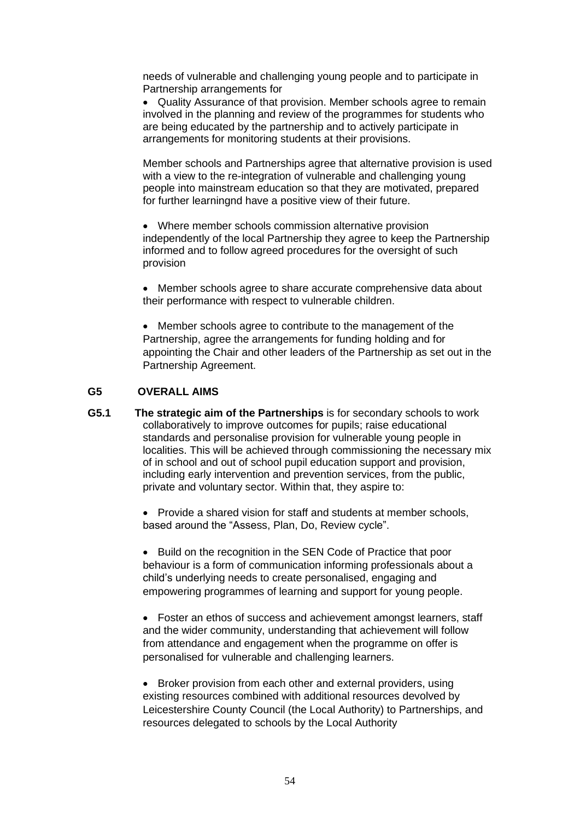needs of vulnerable and challenging young people and to participate in Partnership arrangements for

• Quality Assurance of that provision. Member schools agree to remain involved in the planning and review of the programmes for students who are being educated by the partnership and to actively participate in arrangements for monitoring students at their provisions.

Member schools and Partnerships agree that alternative provision is used with a view to the re-integration of vulnerable and challenging young people into mainstream education so that they are motivated, prepared for further learningnd have a positive view of their future.

• Where member schools commission alternative provision independently of the local Partnership they agree to keep the Partnership informed and to follow agreed procedures for the oversight of such provision

• Member schools agree to share accurate comprehensive data about their performance with respect to vulnerable children.

• Member schools agree to contribute to the management of the Partnership, agree the arrangements for funding holding and for appointing the Chair and other leaders of the Partnership as set out in the Partnership Agreement.

## **G5 OVERALL AIMS**

**G5.1 The strategic aim of the Partnerships** is for secondary schools to work collaboratively to improve outcomes for pupils; raise educational standards and personalise provision for vulnerable young people in localities. This will be achieved through commissioning the necessary mix of in school and out of school pupil education support and provision, including early intervention and prevention services, from the public, private and voluntary sector. Within that, they aspire to:

> • Provide a shared vision for staff and students at member schools, based around the "Assess, Plan, Do, Review cycle".

• Build on the recognition in the SEN Code of Practice that poor behaviour is a form of communication informing professionals about a child's underlying needs to create personalised, engaging and empowering programmes of learning and support for young people.

• Foster an ethos of success and achievement amongst learners, staff and the wider community, understanding that achievement will follow from attendance and engagement when the programme on offer is personalised for vulnerable and challenging learners.

• Broker provision from each other and external providers, using existing resources combined with additional resources devolved by Leicestershire County Council (the Local Authority) to Partnerships, and resources delegated to schools by the Local Authority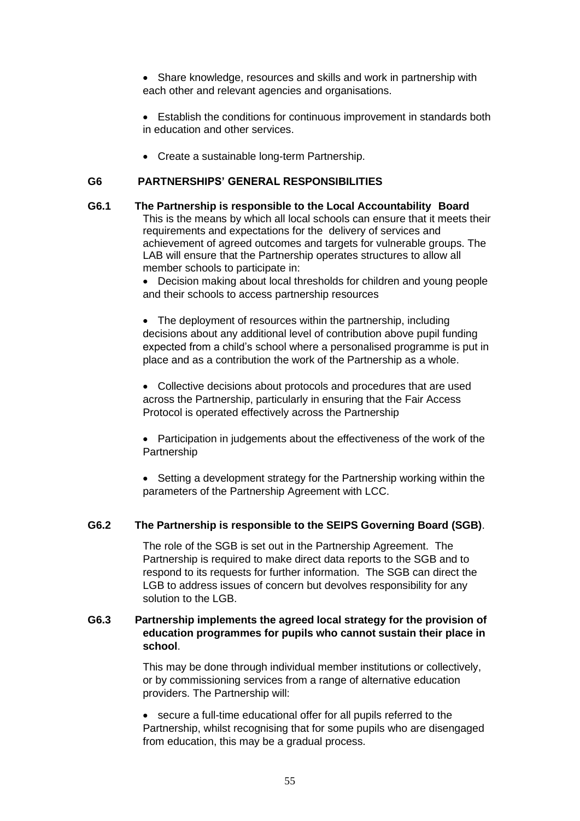• Share knowledge, resources and skills and work in partnership with each other and relevant agencies and organisations.

- Establish the conditions for continuous improvement in standards both in education and other services.
- Create a sustainable long-term Partnership.

## **G6 PARTNERSHIPS' GENERAL RESPONSIBILITIES**

**G6.1 The Partnership is responsible to the Local Accountability Board** This is the means by which all local schools can ensure that it meets their requirements and expectations for the delivery of services and achievement of agreed outcomes and targets for vulnerable groups. The LAB will ensure that the Partnership operates structures to allow all member schools to participate in:

> • Decision making about local thresholds for children and young people and their schools to access partnership resources

> • The deployment of resources within the partnership, including decisions about any additional level of contribution above pupil funding expected from a child's school where a personalised programme is put in place and as a contribution the work of the Partnership as a whole.

• Collective decisions about protocols and procedures that are used across the Partnership, particularly in ensuring that the Fair Access Protocol is operated effectively across the Partnership

• Participation in judgements about the effectiveness of the work of the Partnership

• Setting a development strategy for the Partnership working within the parameters of the Partnership Agreement with LCC.

## **G6.2 The Partnership is responsible to the SEIPS Governing Board (SGB)**.

The role of the SGB is set out in the Partnership Agreement. The Partnership is required to make direct data reports to the SGB and to respond to its requests for further information. The SGB can direct the LGB to address issues of concern but devolves responsibility for any solution to the LGB.

## **G6.3 Partnership implements the agreed local strategy for the provision of education programmes for pupils who cannot sustain their place in school**.

This may be done through individual member institutions or collectively, or by commissioning services from a range of alternative education providers. The Partnership will:

• secure a full-time educational offer for all pupils referred to the Partnership, whilst recognising that for some pupils who are disengaged from education, this may be a gradual process.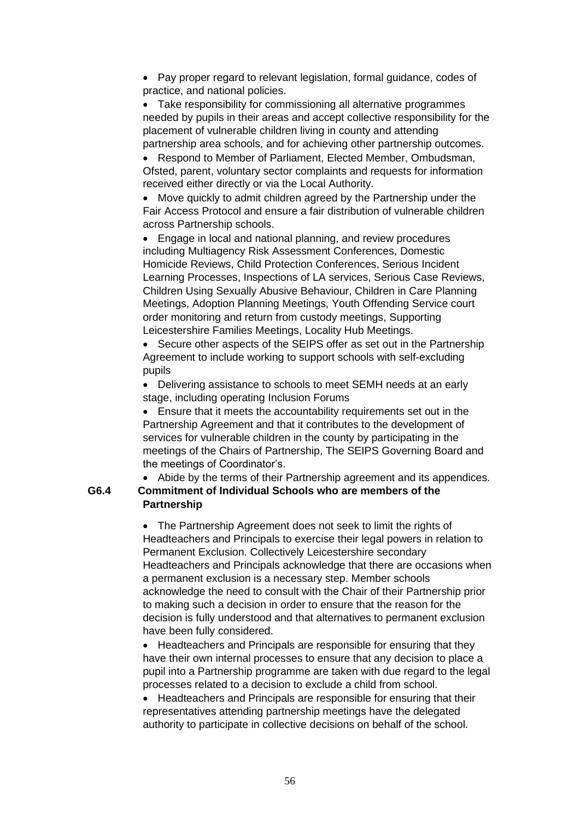• Pay proper regard to relevant legislation, formal guidance, codes of practice, and national policies.

• Take responsibility for commissioning all alternative programmes needed by pupils in their areas and accept collective responsibility for the placement of vulnerable children living in county and attending partnership area schools, and for achieving other partnership outcomes.

• Respond to Member of Parliament, Elected Member, Ombudsman, Ofsted, parent, voluntary sector complaints and requests for information received either directly or via the Local Authority.

• Move quickly to admit children agreed by the Partnership under the Fair Access Protocol and ensure a fair distribution of vulnerable children across Partnership schools.

• Engage in local and national planning, and review procedures including Multiagency Risk Assessment Conferences, Domestic Homicide Reviews, Child Protection Conferences, Serious Incident Learning Processes, Inspections of LA services, Serious Case Reviews, Children Using Sexually Abusive Behaviour, Children in Care Planning Meetings, Adoption Planning Meetings, Youth Offending Service court order monitoring and return from custody meetings, Supporting Leicestershire Families Meetings, Locality Hub Meetings.

• Secure other aspects of the SEIPS offer as set out in the Partnership Agreement to include working to support schools with self-excluding pupils

• Delivering assistance to schools to meet SEMH needs at an early stage, including operating Inclusion Forums

• Ensure that it meets the accountability requirements set out in the Partnership Agreement and that it contributes to the development of services for vulnerable children in the county by participating in the meetings of the Chairs of Partnership, The SEIPS Governing Board and the meetings of Coordinator's.

• Abide by the terms of their Partnership agreement and its appendices. **G6.4 Commitment of Individual Schools who are members of the Partnership**

> • The Partnership Agreement does not seek to limit the rights of Headteachers and Principals to exercise their legal powers in relation to Permanent Exclusion. Collectively Leicestershire secondary Headteachers and Principals acknowledge that there are occasions when a permanent exclusion is a necessary step. Member schools acknowledge the need to consult with the Chair of their Partnership prior to making such a decision in order to ensure that the reason for the decision is fully understood and that alternatives to permanent exclusion have been fully considered.

> • Headteachers and Principals are responsible for ensuring that they have their own internal processes to ensure that any decision to place a pupil into a Partnership programme are taken with due regard to the legal processes related to a decision to exclude a child from school.

• Headteachers and Principals are responsible for ensuring that their representatives attending partnership meetings have the delegated authority to participate in collective decisions on behalf of the school.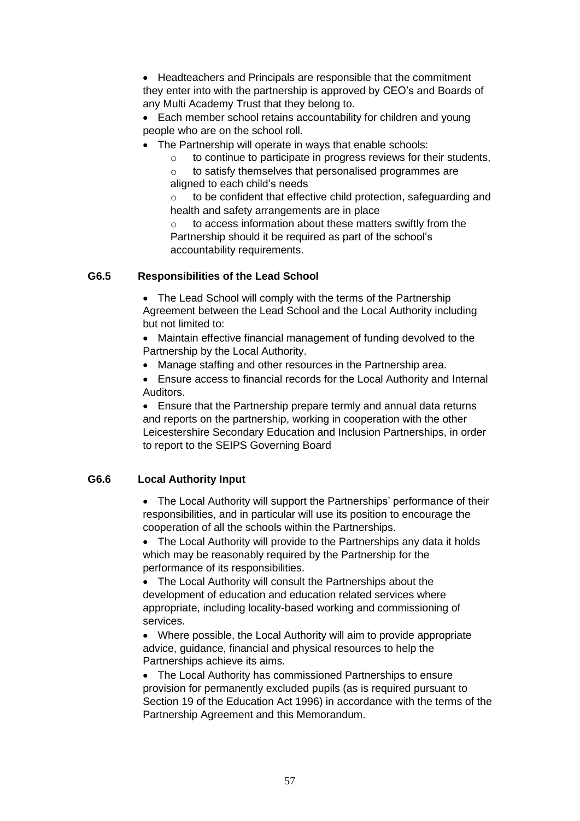• Headteachers and Principals are responsible that the commitment they enter into with the partnership is approved by CEO's and Boards of any Multi Academy Trust that they belong to.

• Each member school retains accountability for children and young people who are on the school roll.

- The Partnership will operate in ways that enable schools:
	- o to continue to participate in progress reviews for their students,
	- o to satisfy themselves that personalised programmes are aligned to each child's needs

o to be confident that effective child protection, safeguarding and health and safety arrangements are in place

o to access information about these matters swiftly from the Partnership should it be required as part of the school's accountability requirements.

## **G6.5 Responsibilities of the Lead School**

• The Lead School will comply with the terms of the Partnership Agreement between the Lead School and the Local Authority including but not limited to:

• Maintain effective financial management of funding devolved to the Partnership by the Local Authority.

- Manage staffing and other resources in the Partnership area.
- Ensure access to financial records for the Local Authority and Internal Auditors.

• Ensure that the Partnership prepare termly and annual data returns and reports on the partnership, working in cooperation with the other Leicestershire Secondary Education and Inclusion Partnerships, in order to report to the SEIPS Governing Board

## **G6.6 Local Authority Input**

• The Local Authority will support the Partnerships' performance of their responsibilities, and in particular will use its position to encourage the cooperation of all the schools within the Partnerships.

• The Local Authority will provide to the Partnerships any data it holds which may be reasonably required by the Partnership for the performance of its responsibilities.

• The Local Authority will consult the Partnerships about the development of education and education related services where appropriate, including locality-based working and commissioning of services.

• Where possible, the Local Authority will aim to provide appropriate advice, guidance, financial and physical resources to help the Partnerships achieve its aims.

• The Local Authority has commissioned Partnerships to ensure provision for permanently excluded pupils (as is required pursuant to Section 19 of the Education Act 1996) in accordance with the terms of the Partnership Agreement and this Memorandum.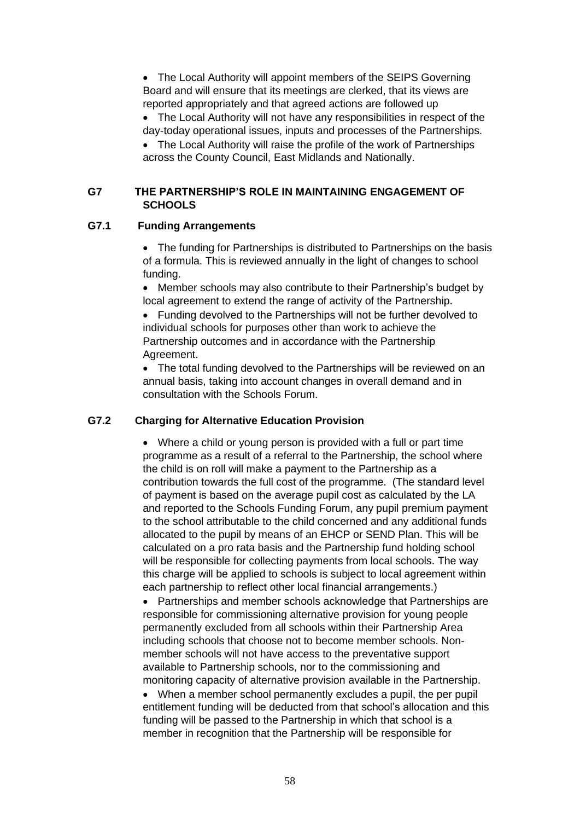• The Local Authority will appoint members of the SEIPS Governing Board and will ensure that its meetings are clerked, that its views are reported appropriately and that agreed actions are followed up

• The Local Authority will not have any responsibilities in respect of the day-today operational issues, inputs and processes of the Partnerships.

• The Local Authority will raise the profile of the work of Partnerships across the County Council, East Midlands and Nationally.

## **G7 THE PARTNERSHIP'S ROLE IN MAINTAINING ENGAGEMENT OF SCHOOLS**

## **G7.1 Funding Arrangements**

• The funding for Partnerships is distributed to Partnerships on the basis of a formula. This is reviewed annually in the light of changes to school funding.

• Member schools may also contribute to their Partnership's budget by local agreement to extend the range of activity of the Partnership.

• Funding devolved to the Partnerships will not be further devolved to individual schools for purposes other than work to achieve the Partnership outcomes and in accordance with the Partnership Agreement.

• The total funding devolved to the Partnerships will be reviewed on an annual basis, taking into account changes in overall demand and in consultation with the Schools Forum.

## **G7.2 Charging for Alternative Education Provision**

• Where a child or young person is provided with a full or part time programme as a result of a referral to the Partnership, the school where the child is on roll will make a payment to the Partnership as a contribution towards the full cost of the programme. (The standard level of payment is based on the average pupil cost as calculated by the LA and reported to the Schools Funding Forum, any pupil premium payment to the school attributable to the child concerned and any additional funds allocated to the pupil by means of an EHCP or SEND Plan. This will be calculated on a pro rata basis and the Partnership fund holding school will be responsible for collecting payments from local schools. The way this charge will be applied to schools is subject to local agreement within each partnership to reflect other local financial arrangements.)

• Partnerships and member schools acknowledge that Partnerships are responsible for commissioning alternative provision for young people permanently excluded from all schools within their Partnership Area including schools that choose not to become member schools. Nonmember schools will not have access to the preventative support available to Partnership schools, nor to the commissioning and monitoring capacity of alternative provision available in the Partnership.

• When a member school permanently excludes a pupil, the per pupil entitlement funding will be deducted from that school's allocation and this funding will be passed to the Partnership in which that school is a member in recognition that the Partnership will be responsible for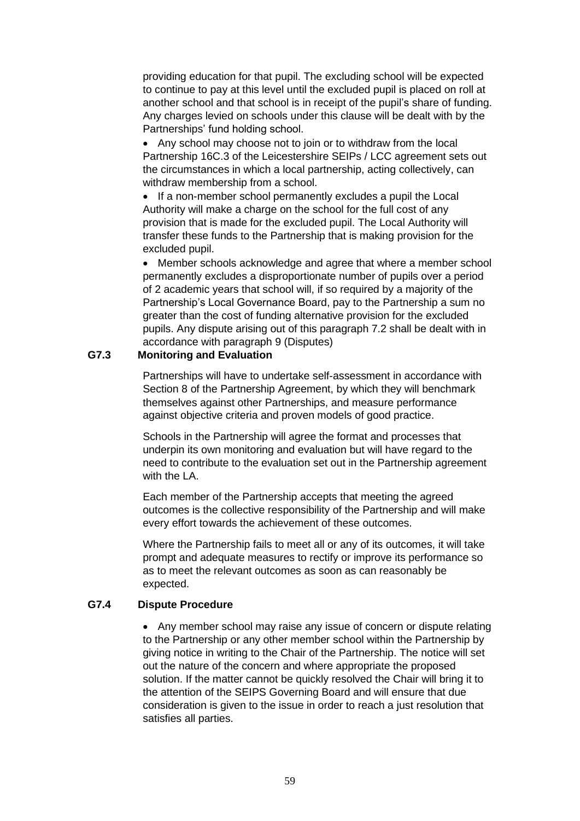providing education for that pupil. The excluding school will be expected to continue to pay at this level until the excluded pupil is placed on roll at another school and that school is in receipt of the pupil's share of funding. Any charges levied on schools under this clause will be dealt with by the Partnerships' fund holding school.

• Any school may choose not to join or to withdraw from the local Partnership 16C.3 of the Leicestershire SEIPs / LCC agreement sets out the circumstances in which a local partnership, acting collectively, can withdraw membership from a school.

• If a non-member school permanently excludes a pupil the Local Authority will make a charge on the school for the full cost of any provision that is made for the excluded pupil. The Local Authority will transfer these funds to the Partnership that is making provision for the excluded pupil.

• Member schools acknowledge and agree that where a member school permanently excludes a disproportionate number of pupils over a period of 2 academic years that school will, if so required by a majority of the Partnership's Local Governance Board, pay to the Partnership a sum no greater than the cost of funding alternative provision for the excluded pupils. Any dispute arising out of this paragraph 7.2 shall be dealt with in accordance with paragraph 9 (Disputes)

## **G7.3 Monitoring and Evaluation**

Partnerships will have to undertake self-assessment in accordance with Section 8 of the Partnership Agreement, by which they will benchmark themselves against other Partnerships, and measure performance against objective criteria and proven models of good practice.

Schools in the Partnership will agree the format and processes that underpin its own monitoring and evaluation but will have regard to the need to contribute to the evaluation set out in the Partnership agreement with the LA.

Each member of the Partnership accepts that meeting the agreed outcomes is the collective responsibility of the Partnership and will make every effort towards the achievement of these outcomes.

Where the Partnership fails to meet all or any of its outcomes, it will take prompt and adequate measures to rectify or improve its performance so as to meet the relevant outcomes as soon as can reasonably be expected.

## **G7.4 Dispute Procedure**

• Any member school may raise any issue of concern or dispute relating to the Partnership or any other member school within the Partnership by giving notice in writing to the Chair of the Partnership. The notice will set out the nature of the concern and where appropriate the proposed solution. If the matter cannot be quickly resolved the Chair will bring it to the attention of the SEIPS Governing Board and will ensure that due consideration is given to the issue in order to reach a just resolution that satisfies all parties.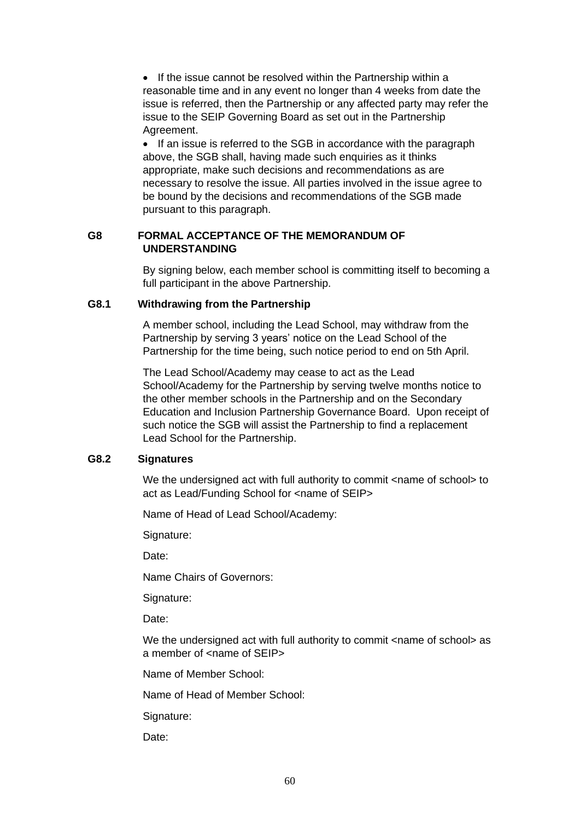• If the issue cannot be resolved within the Partnership within a reasonable time and in any event no longer than 4 weeks from date the issue is referred, then the Partnership or any affected party may refer the issue to the SEIP Governing Board as set out in the Partnership Agreement.

• If an issue is referred to the SGB in accordance with the paragraph above, the SGB shall, having made such enquiries as it thinks appropriate, make such decisions and recommendations as are necessary to resolve the issue. All parties involved in the issue agree to be bound by the decisions and recommendations of the SGB made pursuant to this paragraph.

## **G8 FORMAL ACCEPTANCE OF THE MEMORANDUM OF UNDERSTANDING**

By signing below, each member school is committing itself to becoming a full participant in the above Partnership.

#### **G8.1 Withdrawing from the Partnership**

A member school, including the Lead School, may withdraw from the Partnership by serving 3 years' notice on the Lead School of the Partnership for the time being, such notice period to end on 5th April.

The Lead School/Academy may cease to act as the Lead School/Academy for the Partnership by serving twelve months notice to the other member schools in the Partnership and on the Secondary Education and Inclusion Partnership Governance Board. Upon receipt of such notice the SGB will assist the Partnership to find a replacement Lead School for the Partnership.

## **G8.2 Signatures**

We the undersigned act with full authority to commit <name of school> to act as Lead/Funding School for <name of SEIP>

Name of Head of Lead School/Academy:

Signature:

Date:

Name Chairs of Governors:

Signature:

Date:

We the undersigned act with full authority to commit <name of school> as a member of <name of SEIP>

Name of Member School:

Name of Head of Member School:

Signature:

Date: